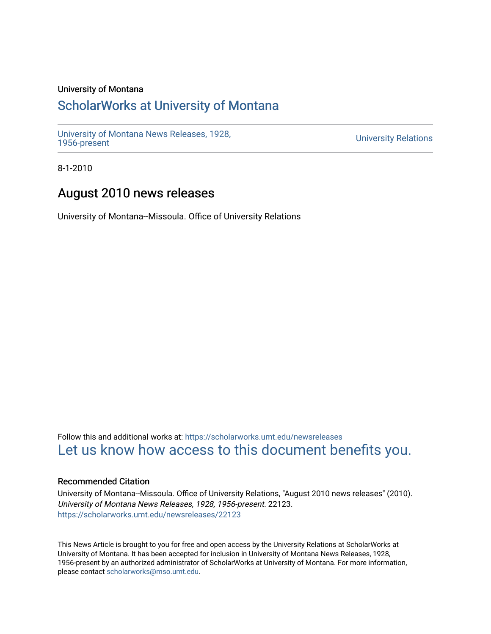# University of Montana

# [ScholarWorks at University of Montana](https://scholarworks.umt.edu/)

[University of Montana News Releases, 1928,](https://scholarworks.umt.edu/newsreleases) 

**University Relations** 

8-1-2010

# August 2010 news releases

University of Montana--Missoula. Office of University Relations

Follow this and additional works at: [https://scholarworks.umt.edu/newsreleases](https://scholarworks.umt.edu/newsreleases?utm_source=scholarworks.umt.edu%2Fnewsreleases%2F22123&utm_medium=PDF&utm_campaign=PDFCoverPages) [Let us know how access to this document benefits you.](https://goo.gl/forms/s2rGfXOLzz71qgsB2) 

# Recommended Citation

University of Montana--Missoula. Office of University Relations, "August 2010 news releases" (2010). University of Montana News Releases, 1928, 1956-present. 22123. [https://scholarworks.umt.edu/newsreleases/22123](https://scholarworks.umt.edu/newsreleases/22123?utm_source=scholarworks.umt.edu%2Fnewsreleases%2F22123&utm_medium=PDF&utm_campaign=PDFCoverPages) 

This News Article is brought to you for free and open access by the University Relations at ScholarWorks at University of Montana. It has been accepted for inclusion in University of Montana News Releases, 1928, 1956-present by an authorized administrator of ScholarWorks at University of Montana. For more information, please contact [scholarworks@mso.umt.edu.](mailto:scholarworks@mso.umt.edu)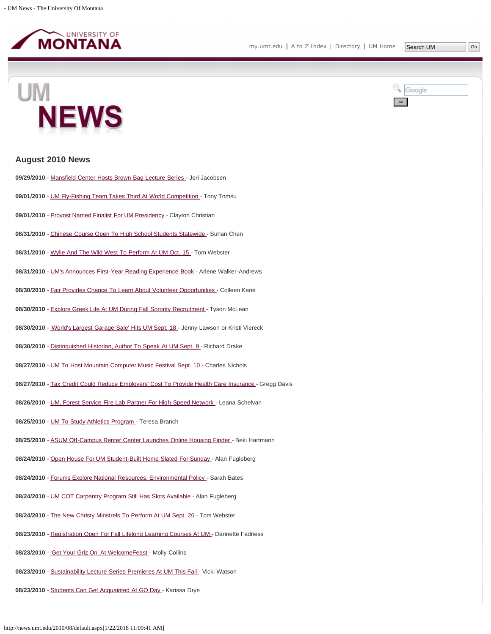





# **August 2010 News**

- 09/29/2010 - [Mansfield Center Hosts Brown Bag Lecture Series -](#page-3-0) Jeri Jacobsen
- 09/01/2010 - [UM Fly-Fishing Team Takes Third At World Competition -](#page-5-0) Tony Tomsu
- 09/01/2010 - [Provost Named Finalist For UM Presidency](#page-6-0)  Clayton Christian
- **08/31/2010** - [Chinese Course Open To High School Students Statewide -](#page-7-0) Suhan Chen
- 08/31/2010 - [Wylie And The Wild West To Perform At UM Oct. 15](#page-8-0)  Tom Webster
- 08/31/2010 - [UM's Announces First-Year Reading Experience Book](#page-9-0)  Arlene Walker-Andrews
- 08/30/2010 - [Fair Provides Chance To Learn About Volunteer Opportunities](#page-10-0)  Colleen Kane
- 08/30/2010 - [Explore Greek Life At UM During Fall Sorority Recruitment](#page-11-0)  Tyson McLean
- 08/30/2010 - ['World's Largest Garage Sale' Hits UM Sept. 18](#page-12-0)  Jenny Lawson or Kristi Viereck
- **08/30/2010** - [Distinguished Historian, Author To Speak At UM Sept. 9](#page-13-0)  Richard Drake
- 08/27/2010 - [UM To Host Mountain Computer Music Festival Sept. 10 -](#page-14-0) Charles Nichols
- **08/27/2010** - [Tax Credit Could Reduce Employers' Cost To Provide Health Care Insurance](#page-15-0)  Gregg Davis
- **08/26/2010** - [UM, Forest Service Fire Lab Partner For High-Speed Network -](#page-17-0) Leana Schelvan
- 08/25/2010 - [UM To Study Athletics Program -](#page-18-0) Teresa Branch
- 08/25/2010 - [ASUM Off-Campus Renter Center Launches Online Housing Finder](#page-20-0)  Beki Hartmann
- 08/24/2010 - [Open House For UM Student-Built Home Slated For Sunday -](#page-21-0) Alan Fugleberg
- **08/24/2010** - [Forums Explore National Resources, Environmental Policy -](#page-22-0) Sarah Bates
- 08/24/2010 - [UM COT Carpentry Program Still Has Slots Available -](#page-23-0) Alan Fugleberg
- 08/24/2010 - [The New Christy Minstrels To Perform At UM Sept. 26 -](#page-24-0) Tom Webster
- 08/23/2010 - [Registration Open For Fall Lifelong Learning Courses At UM -](#page-25-0) Dannette Fadness
- 08/23/2010 - ['Get Your Griz On' At WelcomeFeast](#page-27-0)  Molly Collins
- 08/23/2010 - [Sustainability Lecture Series Premieres At UM This Fall -](#page-28-0) Vicki Watson
- **08/23/2010** - [Students Can Get Acquainted At GO Day](#page-30-0)  Karissa Drye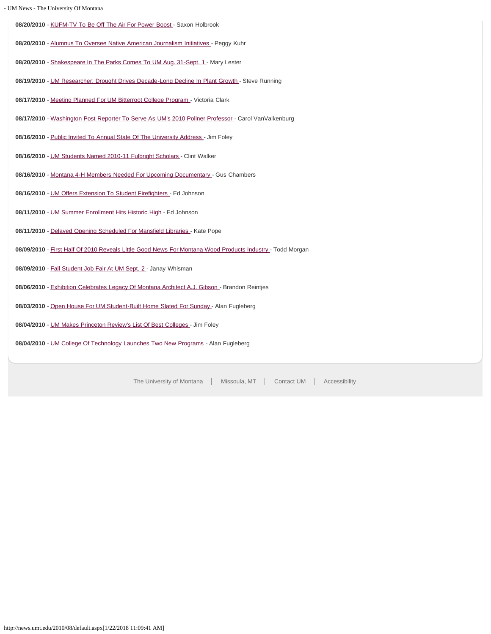| UM News - The University Of Montana |  |  |
|-------------------------------------|--|--|

| UM News - The University Of Montana |                                                                                                           |
|-------------------------------------|-----------------------------------------------------------------------------------------------------------|
|                                     | 08/20/2010 - KUFM-TV To Be Off The Air For Power Boost - Saxon Holbrook                                   |
|                                     | 08/20/2010 - Alumnus To Oversee Native American Journalism Initiatives - Peggy Kuhr                       |
|                                     | 08/20/2010 - Shakespeare In The Parks Comes To UM Aug. 31-Sept. 1 - Mary Lester                           |
|                                     | 08/19/2010 - UM Researcher: Drought Drives Decade-Long Decline In Plant Growth - Steve Running            |
|                                     | 08/17/2010 - Meeting Planned For UM Bitterroot College Program - Victoria Clark                           |
|                                     | 08/17/2010 - Washington Post Reporter To Serve As UM's 2010 Pollner Professor - Carol VanValkenburg       |
|                                     | 08/16/2010 - Public Invited To Annual State Of The University Address - Jim Foley                         |
|                                     | 08/16/2010 - UM Students Named 2010-11 Fulbright Scholars - Clint Walker                                  |
|                                     | 08/16/2010 - Montana 4-H Members Needed For Upcoming Documentary - Gus Chambers                           |
|                                     | 08/16/2010 - UM Offers Extension To Student Firefighters - Ed Johnson                                     |
|                                     | 08/11/2010 - UM Summer Enrollment Hits Historic High - Ed Johnson                                         |
|                                     | 08/11/2010 - Delaved Opening Scheduled For Mansfield Libraries - Kate Pope                                |
|                                     | 08/09/2010 - First Half Of 2010 Reveals Little Good News For Montana Wood Products Industry - Todd Morgan |
|                                     | 08/09/2010 - Fall Student Job Fair At UM Sept. 2 - Janay Whisman                                          |
|                                     | 08/06/2010 - Exhibition Celebrates Legacy Of Montana Architect A.J. Gibson - Brandon Reintjes             |
|                                     | 08/03/2010 - Open House For UM Student-Built Home Slated For Sunday - Alan Fugleberg                      |
|                                     | 08/04/2010 - UM Makes Princeton Review's List Of Best Colleges - Jim Foley                                |
|                                     | 08/04/2010 - UM College Of Technology Launches Two New Programs - Alan Fugleberg                          |
|                                     |                                                                                                           |
|                                     |                                                                                                           |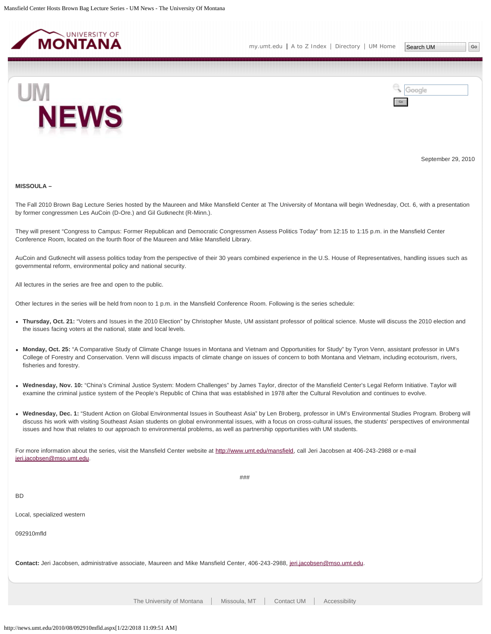<span id="page-3-0"></span>



September 29, 2010

#### **MISSOULA –**

The Fall 2010 Brown Bag Lecture Series hosted by the Maureen and Mike Mansfield Center at The University of Montana will begin Wednesday, Oct. 6, with a presentation by former congressmen Les AuCoin (D-Ore.) and Gil Gutknecht (R-Minn.).

They will present "Congress to Campus: Former Republican and Democratic Congressmen Assess Politics Today" from 12:15 to 1:15 p.m. in the Mansfield Center Conference Room, located on the fourth floor of the Maureen and Mike Mansfield Library.

AuCoin and Gutknecht will assess politics today from the perspective of their 30 years combined experience in the U.S. House of Representatives, handling issues such as governmental reform, environmental policy and national security.

All lectures in the series are free and open to the public.

Other lectures in the series will be held from noon to 1 p.m. in the Mansfield Conference Room. Following is the series schedule:

- Thursday, Oct. 21: "Voters and Issues in the 2010 Election" by Christopher Muste, UM assistant professor of political science. Muste will discuss the 2010 election and the issues facing voters at the national, state and local levels.
- **Monday, Oct. 25:** "A Comparative Study of Climate Change Issues in Montana and Vietnam and Opportunities for Study" by Tyron Venn, assistant professor in UM's College of Forestry and Conservation. Venn will discuss impacts of climate change on issues of concern to both Montana and Vietnam, including ecotourism, rivers, fisheries and forestry.
- **Wednesday, Nov. 10:** "China's Criminal Justice System: Modern Challenges" by James Taylor, director of the Mansfield Center's Legal Reform Initiative. Taylor will examine the criminal justice system of the People's Republic of China that was established in 1978 after the Cultural Revolution and continues to evolve.
- **Wednesday, Dec. 1:** "Student Action on Global Environmental Issues in Southeast Asia" by Len Broberg, professor in UM's Environmental Studies Program. Broberg will discuss his work with visiting Southeast Asian students on global environmental issues, with a focus on cross-cultural issues, the students' perspectives of environmental issues and how that relates to our approach to environmental problems, as well as partnership opportunities with UM students.

###

For more information about the series, visit the Mansfield Center website at<http://www.umt.edu/mansfield>, call Jeri Jacobsen at 406-243-2988 or e-mail [jeri.jacobsen@mso.umt.edu](mailto:jeri.jacobsen@mso.umt.edu).

| <b>BD</b>                                                                                                                     |
|-------------------------------------------------------------------------------------------------------------------------------|
| Local, specialized western                                                                                                    |
| 092910mfld                                                                                                                    |
| Contact: Jeri Jacobsen, administrative associate, Maureen and Mike Mansfield Center, 406-243-2988, jeri.jacobsen@mso.umt.edu. |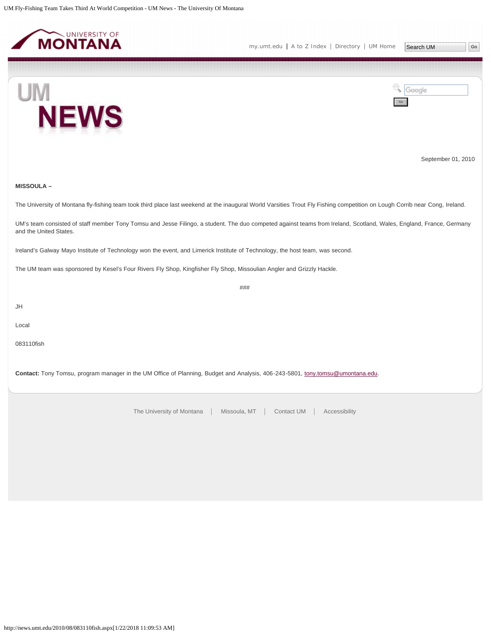<span id="page-5-0"></span>



September 01, 2010

# **MISSOULA –**

The University of Montana fly-fishing team took third place last weekend at the inaugural World Varsities Trout Fly Fishing competition on Lough Corrib near Cong, Ireland.

UM's team consisted of staff member Tony Tomsu and Jesse Filingo, a student. The duo competed against teams from Ireland, Scotland, Wales, England, France, Germany and the United States.

Ireland's Galway Mayo Institute of Technology won the event, and Limerick Institute of Technology, the host team, was second.

The UM team was sponsored by Kesel's Four Rivers Fly Shop, Kingfisher Fly Shop, Missoulian Angler and Grizzly Hackle.

###

JH

Local

083110fish

**Contact:** Tony Tomsu, program manager in the UM Office of Planning, Budget and Analysis, 406-243-5801, [tony.tomsu@umontana.edu](mailto:tony.tomsu@umontana.edu).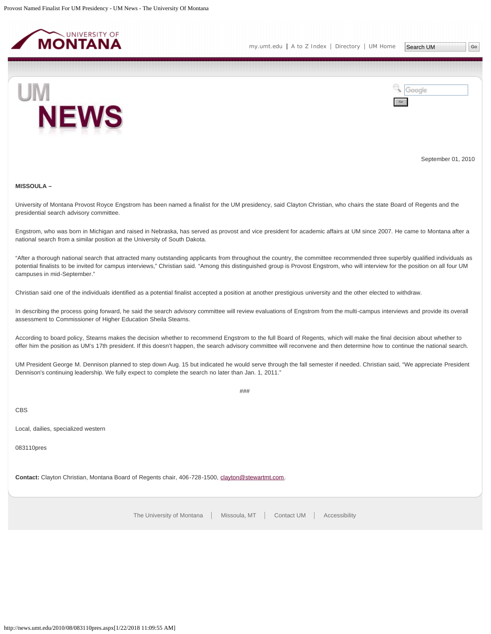<span id="page-6-0"></span>



September 01, 2010

#### **MISSOULA –**

University of Montana Provost Royce Engstrom has been named a finalist for the UM presidency, said Clayton Christian, who chairs the state Board of Regents and the presidential search advisory committee.

Engstrom, who was born in Michigan and raised in Nebraska, has served as provost and vice president for academic affairs at UM since 2007. He came to Montana after a national search from a similar position at the University of South Dakota.

"After a thorough national search that attracted many outstanding applicants from throughout the country, the committee recommended three superbly qualified individuals as potential finalists to be invited for campus interviews," Christian said. "Among this distinguished group is Provost Engstrom, who will interview for the position on all four UM campuses in mid-September."

Christian said one of the individuals identified as a potential finalist accepted a position at another prestigious university and the other elected to withdraw.

In describing the process going forward, he said the search advisory committee will review evaluations of Engstrom from the multi-campus interviews and provide its overall assessment to Commissioner of Higher Education Sheila Stearns.

According to board policy, Stearns makes the decision whether to recommend Engstrom to the full Board of Regents, which will make the final decision about whether to offer him the position as UM's 17th president. If this doesn't happen, the search advisory committee will reconvene and then determine how to continue the national search.

UM President George M. Dennison planned to step down Aug. 15 but indicated he would serve through the fall semester if needed. Christian said, "We appreciate President Dennison's continuing leadership. We fully expect to complete the search no later than Jan. 1, 2011."

###

CBS

Local, dailies, specialized western

083110pres

**Contact:** Clayton Christian, Montana Board of Regents chair, 406-728-1500, [clayton@stewartmt.com.](mailto:clayton@stewartmt.com)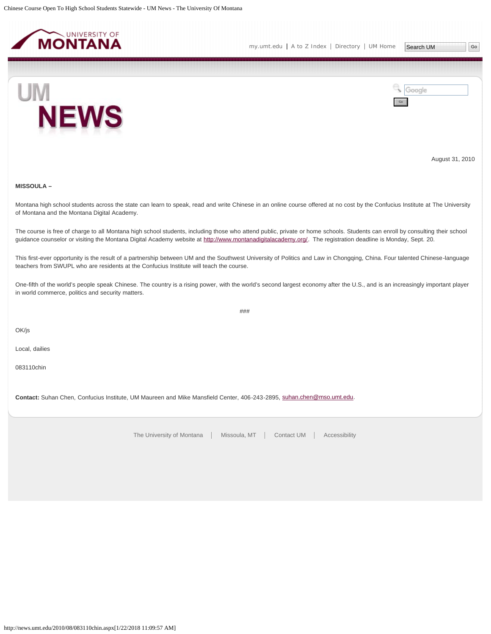<span id="page-7-0"></span>



August 31, 2010

## **MISSOULA –**

Montana high school students across the state can learn to speak, read and write Chinese in an online course offered at no cost by the Confucius Institute at The University of Montana and the Montana Digital Academy.

The course is free of charge to all Montana high school students, including those who attend public, private or home schools. Students can enroll by consulting their school guidance counselor or visiting the Montana Digital Academy website at<http://www.montanadigitalacademy.org/>. The registration deadline is Monday, Sept. 20.

This first-ever opportunity is the result of a partnership between UM and the Southwest University of Politics and Law in Chongqing, China. Four talented Chinese-language teachers from SWUPL who are residents at the Confucius Institute will teach the course.

One-fifth of the world's people speak Chinese. The country is a rising power, with the world's second largest economy after the U.S., and is an increasingly important player in world commerce, politics and security matters.

###

OK/js

Local, dailies

083110chin

**Contact:** Suhan Chen, Confucius Institute, UM Maureen and Mike Mansfield Center, 406-243-2895, [suhan.chen@mso.umt.edu.](mailto:suhan.chen@mso.umt.edu)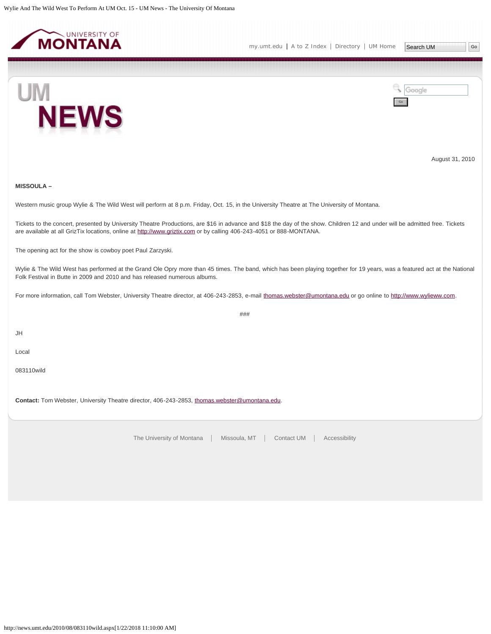<span id="page-8-0"></span>

**NEWS** 





August 31, 2010

## **MISSOULA –**

UM

Western music group Wylie & The Wild West will perform at 8 p.m. Friday, Oct. 15, in the University Theatre at The University of Montana.

Tickets to the concert, presented by University Theatre Productions, are \$16 in advance and \$18 the day of the show. Children 12 and under will be admitted free. Tickets are available at all GrizTix locations, online at [http://www.griztix.com](http://www.griztix.com/) or by calling 406-243-4051 or 888-MONTANA.

The opening act for the show is cowboy poet Paul Zarzyski.

Wylie & The Wild West has performed at the Grand Ole Opry more than 45 times. The band, which has been playing together for 19 years, was a featured act at the National Folk Festival in Butte in 2009 and 2010 and has released numerous albums.

###

For more information, call Tom Webster, University Theatre director, at 406-243-2853, e-mail [thomas.webster@umontana.edu](mailto:thomas.webster@umontana.edu) or go online to [http://www.wylieww.com.](http://www.wylieww.com/)

JH

Local

083110wild

**Contact:** Tom Webster, University Theatre director, 406-243-2853, [thomas.webster@umontana.edu](mailto:thomas.webster@umontana.edu).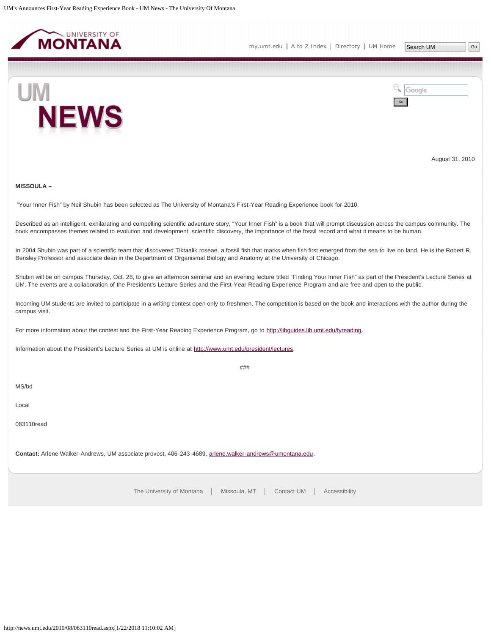<span id="page-9-0"></span>



August 31, 2010

# **MISSOULA –**

"Your Inner Fish" by Neil Shubin has been selected as The University of Montana's First-Year Reading Experience book for 2010.

Described as an intelligent, exhilarating and compelling scientific adventure story, "Your Inner Fish" is a book that will prompt discussion across the campus community. The book encompasses themes related to evolution and development, scientific discovery, the importance of the fossil record and what it means to be human.

In 2004 Shubin was part of a scientific team that discovered Tiktaalik roseae, a fossil fish that marks when fish first emerged from the sea to live on land. He is the Robert R. Bensley Professor and associate dean in the Department of Organismal Biology and Anatomy at the University of Chicago.

Shubin will be on campus Thursday, Oct. 28, to give an afternoon seminar and an evening lecture titled "Finding Your Inner Fish" as part of the President's Lecture Series at UM. The events are a collaboration of the President's Lecture Series and the First-Year Reading Experience Program and are free and open to the public.

Incoming UM students are invited to participate in a writing contest open only to freshmen. The competition is based on the book and interactions with the author during the campus visit.

For more information about the contest and the First-Year Reading Experience Program, go to<http://libguides.lib.umt.edu/fyreading>.

Information about the President's Lecture Series at UM is online at [http://www.umt.edu/president/lectures.](http://www.umt.edu/president/lectures)

###

# MS/bd

Local

083110read

**Contact:** Arlene Walker-Andrews, UM associate provost, 406-243-4689, [arlene.walker-andrews@umontana.edu.](mailto:arlene.walker-andrews@umontana.edu)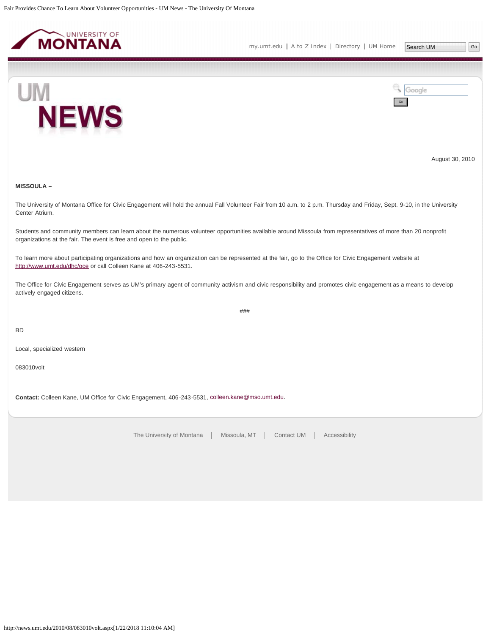<span id="page-10-0"></span>



August 30, 2010

# **MISSOULA –**

The University of Montana Office for Civic Engagement will hold the annual Fall Volunteer Fair from 10 a.m. to 2 p.m. Thursday and Friday, Sept. 9-10, in the University Center Atrium.

Students and community members can learn about the numerous volunteer opportunities available around Missoula from representatives of more than 20 nonprofit organizations at the fair. The event is free and open to the public.

To learn more about participating organizations and how an organization can be represented at the fair, go to the Office for Civic Engagement website at <http://www.umt.edu/dhc/oce> or call Colleen Kane at 406-243-5531.

The Office for Civic Engagement serves as UM's primary agent of community activism and civic responsibility and promotes civic engagement as a means to develop actively engaged citizens.

###

BD

Local, specialized western

083010volt

Contact: Colleen Kane, UM Office for Civic Engagement, 406-243-5531, [colleen.kane@mso.umt.edu.](mailto:colleen.kane@mso.umt.edu)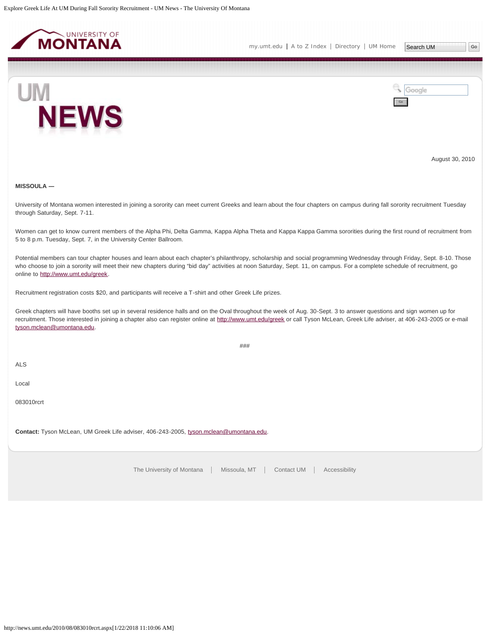<span id="page-11-0"></span>



August 30, 2010

# **MISSOULA ―**

University of Montana women interested in joining a sorority can meet current Greeks and learn about the four chapters on campus during fall sorority recruitment Tuesday through Saturday, Sept. 7-11.

Women can get to know current members of the Alpha Phi, Delta Gamma, Kappa Alpha Theta and Kappa Kappa Gamma sororities during the first round of recruitment from 5 to 8 p.m. Tuesday, Sept. 7, in the University Center Ballroom.

Potential members can tour chapter houses and learn about each chapter's philanthropy, scholarship and social programming Wednesday through Friday, Sept. 8-10. Those who choose to join a sorority will meet their new chapters during "bid day" activities at noon Saturday, Sept. 11, on campus. For a complete schedule of recruitment, go online to<http://www.umt.edu/greek>.

Recruitment registration costs \$20, and participants will receive a T-shirt and other Greek Life prizes.

Greek chapters will have booths set up in several residence halls and on the Oval throughout the week of Aug. 30-Sept. 3 to answer questions and sign women up for recruitment. Those interested in joining a chapter also can register online at <http://www.umt.edu/greek> or call Tyson McLean, Greek Life adviser, at 406-243-2005 or e-mail [tyson.mclean@umontana.edu.](mailto:tyson.mclean@umontana.edu)

###

ALS

Local

083010rcrt

**Contact:** Tyson McLean, UM Greek Life adviser, 406-243-2005, [tyson.mclean@umontana.edu.](mailto:tyson.mclean@umontana.edu)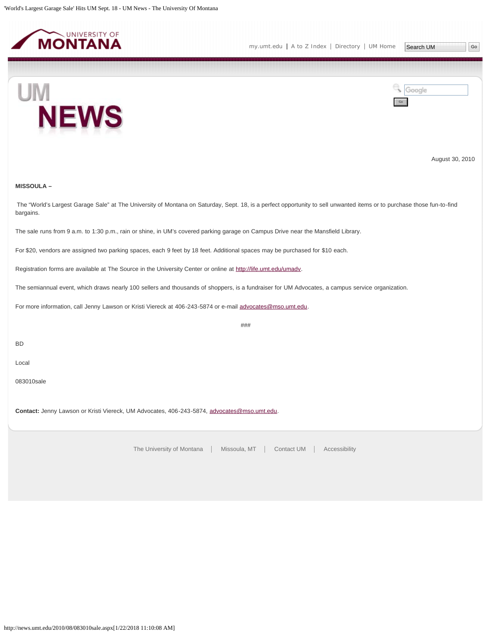<span id="page-12-0"></span>



August 30, 2010

# **MISSOULA –**

The "World's Largest Garage Sale" at The University of Montana on Saturday, Sept. 18, is a perfect opportunity to sell unwanted items or to purchase those fun-to-find bargains.

The sale runs from 9 a.m. to 1:30 p.m., rain or shine, in UM's covered parking garage on Campus Drive near the Mansfield Library.

For \$20, vendors are assigned two parking spaces, each 9 feet by 18 feet. Additional spaces may be purchased for \$10 each.

Registration forms are available at The Source in the University Center or online at<http://life.umt.edu/umadv>.

The semiannual event, which draws nearly 100 sellers and thousands of shoppers, is a fundraiser for UM Advocates, a campus service organization.

For more information, call Jenny Lawson or Kristi Viereck at 406-243-5874 or e-mail [advocates@mso.umt.edu](mailto:advocates@mso.umt.edu).

###

## BD

Local

083010sale

**Contact:** Jenny Lawson or Kristi Viereck, UM Advocates, 406-243-5874, [advocates@mso.umt.edu](mailto:advocates@mso.umt.edu).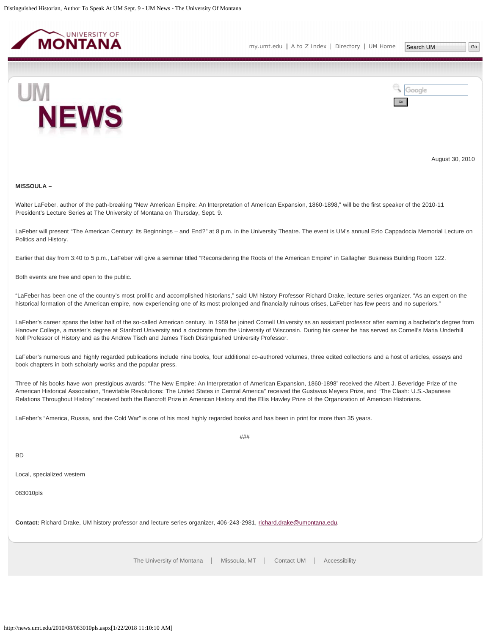<span id="page-13-0"></span>



August 30, 2010

#### **MISSOULA –**

Walter LaFeber, author of the path-breaking "New American Empire: An Interpretation of American Expansion, 1860-1898," will be the first speaker of the 2010-11 President's Lecture Series at The University of Montana on Thursday, Sept. 9.

LaFeber will present "The American Century: Its Beginnings - and End?" at 8 p.m. in the University Theatre. The event is UM's annual Ezio Cappadocia Memorial Lecture on Politics and History.

Earlier that day from 3:40 to 5 p.m., LaFeber will give a seminar titled "Reconsidering the Roots of the American Empire" in Gallagher Business Building Room 122.

Both events are free and open to the public.

"LaFeber has been one of the country's most prolific and accomplished historians," said UM history Professor Richard Drake, lecture series organizer. "As an expert on the historical formation of the American empire, now experiencing one of its most prolonged and financially ruinous crises, LaFeber has few peers and no superiors."

LaFeber's career spans the latter half of the so-called American century. In 1959 he joined Cornell University as an assistant professor after earning a bachelor's degree from Hanover College, a master's degree at Stanford University and a doctorate from the University of Wisconsin. During his career he has served as Cornell's Maria Underhill Noll Professor of History and as the Andrew Tisch and James Tisch Distinguished University Professor.

LaFeber's numerous and highly regarded publications include nine books, four additional co-authored volumes, three edited collections and a host of articles, essays and book chapters in both scholarly works and the popular press.

Three of his books have won prestigious awards: "The New Empire: An Interpretation of American Expansion, 1860-1898" received the Albert J. Beveridge Prize of the American Historical Association, "Inevitable Revolutions: The United States in Central America" received the Gustavus Meyers Prize, and "The Clash: U.S.-Japanese Relations Throughout History" received both the Bancroft Prize in American History and the Ellis Hawley Prize of the Organization of American Historians.

LaFeber's "America, Russia, and the Cold War" is one of his most highly regarded books and has been in print for more than 35 years.

###

BD

Local, specialized western

083010pls

**Contact:** Richard Drake, UM history professor and lecture series organizer, 406-243-2981, [richard.drake@umontana.edu.](mailto:richard.drake@umontana.edu)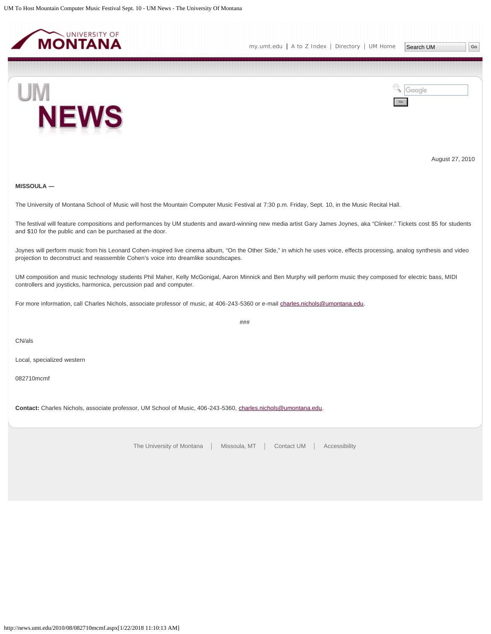<span id="page-14-0"></span>



August 27, 2010

# **MISSOULA ―**

The University of Montana School of Music will host the Mountain Computer Music Festival at 7:30 p.m. Friday, Sept. 10, in the Music Recital Hall.

The festival will feature compositions and performances by UM students and award-winning new media artist Gary James Joynes, aka "Clinker." Tickets cost \$5 for students and \$10 for the public and can be purchased at the door.

Joynes will perform music from his Leonard Cohen-inspired live cinema album, "On the Other Side," in which he uses voice, effects processing, analog synthesis and video projection to deconstruct and reassemble Cohen's voice into dreamlike soundscapes.

UM composition and music technology students Phil Maher, Kelly McGonigal, Aaron Minnick and Ben Murphy will perform music they composed for electric bass, MIDI controllers and joysticks, harmonica, percussion pad and computer.

For more information, call Charles Nichols, associate professor of music, at 406-243-5360 or e-mail [charles.nichols@umontana.edu.](mailto:charles.nichols@umontana.edu)

###

CN/als

Local, specialized western

082710mcmf

**Contact:** Charles Nichols, associate professor, UM School of Music, 406-243-5360, [charles.nichols@umontana.edu](mailto:charles.nichols@umontana.edu).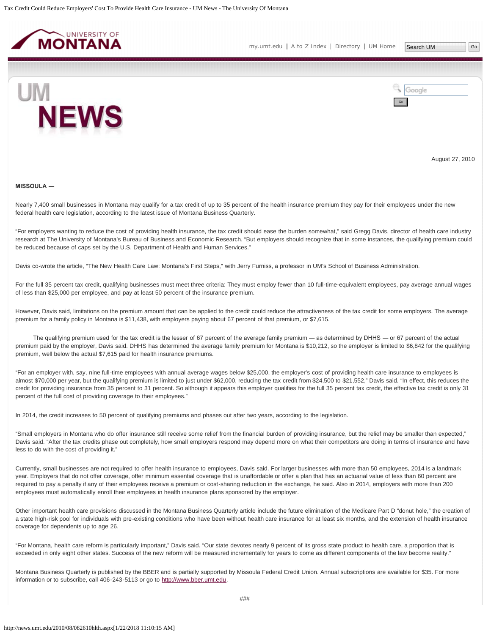<span id="page-15-0"></span>

[my.umt.edu](http://my.umt.edu/) | [A to Z Index](http://www.umt.edu/search/atoz/) | [Directory](http://www.umt.edu/directory/) | [UM Home](http://www.umt.edu/)



Google Go

August 27, 2010

#### **MISSOULA ―**

Nearly 7,400 small businesses in Montana may qualify for a tax credit of up to 35 percent of the health insurance premium they pay for their employees under the new federal health care legislation, according to the latest issue of Montana Business Quarterly.

"For employers wanting to reduce the cost of providing health insurance, the tax credit should ease the burden somewhat," said Gregg Davis, director of health care industry research at The University of Montana's Bureau of Business and Economic Research. "But employers should recognize that in some instances, the qualifying premium could be reduced because of caps set by the U.S. Department of Health and Human Services."

Davis co-wrote the article, "The New Health Care Law: Montana's First Steps," with Jerry Furniss, a professor in UM's School of Business Administration.

For the full 35 percent tax credit, qualifying businesses must meet three criteria: They must employ fewer than 10 full-time-equivalent employees, pay average annual wages of less than \$25,000 per employee, and pay at least 50 percent of the insurance premium.

However, Davis said, limitations on the premium amount that can be applied to the credit could reduce the attractiveness of the tax credit for some employers. The average premium for a family policy in Montana is \$11,438, with employers paying about 67 percent of that premium, or \$7,615.

The qualifying premium used for the tax credit is the lesser of 67 percent of the average family premium — as determined by DHHS — or 67 percent of the actual premium paid by the employer, Davis said. DHHS has determined the average family premium for Montana is \$10,212, so the employer is limited to \$6,842 for the qualifying premium, well below the actual \$7,615 paid for health insurance premiums.

"For an employer with, say, nine full-time employees with annual average wages below \$25,000, the employer's cost of providing health care insurance to employees is almost \$70,000 per year, but the qualifying premium is limited to just under \$62,000, reducing the tax credit from \$24,500 to \$21,552," Davis said. "In effect, this reduces the credit for providing insurance from 35 percent to 31 percent. So although it appears this employer qualifies for the full 35 percent tax credit, the effective tax credit is only 31 percent of the full cost of providing coverage to their employees."

In 2014, the credit increases to 50 percent of qualifying premiums and phases out after two years, according to the legislation.

"Small employers in Montana who do offer insurance still receive some relief from the financial burden of providing insurance, but the relief may be smaller than expected," Davis said. "After the tax credits phase out completely, how small employers respond may depend more on what their competitors are doing in terms of insurance and have less to do with the cost of providing it."

Currently, small businesses are not required to offer health insurance to employees, Davis said. For larger businesses with more than 50 employees, 2014 is a landmark year. Employers that do not offer coverage, offer minimum essential coverage that is unaffordable or offer a plan that has an actuarial value of less than 60 percent are required to pay a penalty if any of their employees receive a premium or cost-sharing reduction in the exchange, he said. Also in 2014, employers with more than 200 employees must automatically enroll their employees in health insurance plans sponsored by the employer.

Other important health care provisions discussed in the Montana Business Quarterly article include the future elimination of the Medicare Part D "donut hole," the creation of a state high-risk pool for individuals with pre-existing conditions who have been without health care insurance for at least six months, and the extension of health insurance coverage for dependents up to age 26.

"For Montana, health care reform is particularly important," Davis said. "Our state devotes nearly 9 percent of its gross state product to health care, a proportion that is exceeded in only eight other states. Success of the new reform will be measured incrementally for years to come as different components of the law become reality."

Montana Business Quarterly is published by the BBER and is partially supported by Missoula Federal Credit Union. Annual subscriptions are available for \$35. For more information or to subscribe, call 406-243-5113 or go to [http://www.bber.umt.edu.](http://www.bber.umt.edu/)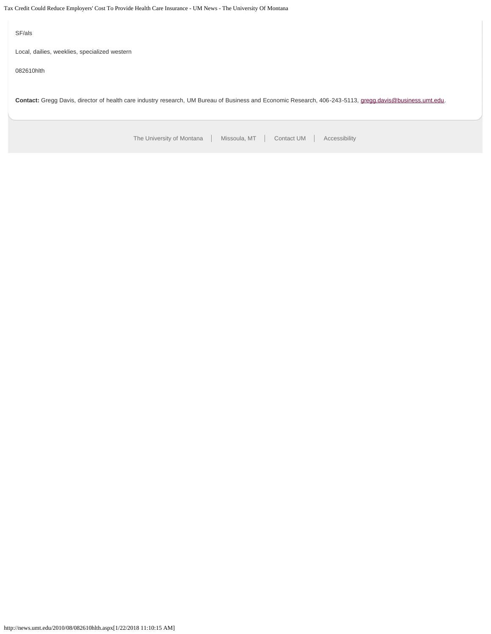Tax Credit Could Reduce Employers' Cost To Provide Health Care Insurance - UM News - The University Of Montana

SF/als

Local, dailies, weeklies, specialized western

082610hlth

**Contact:** Gregg Davis, director of health care industry research, UM Bureau of Business and Economic Research, 406-243-5113, [gregg.davis@business.umt.edu](mailto:gregg.davis@business.umt.edu).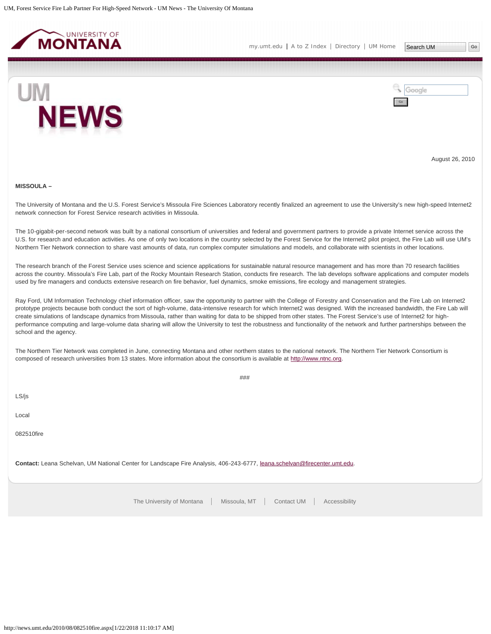<span id="page-17-0"></span>



August 26, 2010

#### **MISSOULA –**

The University of Montana and the U.S. Forest Service's Missoula Fire Sciences Laboratory recently finalized an agreement to use the University's new high-speed Internet2 network connection for Forest Service research activities in Missoula.

The 10-gigabit-per-second network was built by a national consortium of universities and federal and government partners to provide a private Internet service across the U.S. for research and education activities. As one of only two locations in the country selected by the Forest Service for the Internet2 pilot project, the Fire Lab will use UM's Northern Tier Network connection to share vast amounts of data, run complex computer simulations and models, and collaborate with scientists in other locations.

The research branch of the Forest Service uses science and science applications for sustainable natural resource management and has more than 70 research facilities across the country. Missoula's Fire Lab, part of the Rocky Mountain Research Station, conducts fire research. The lab develops software applications and computer models used by fire managers and conducts extensive research on fire behavior, fuel dynamics, smoke emissions, fire ecology and management strategies.

Ray Ford, UM Information Technology chief information officer, saw the opportunity to partner with the College of Forestry and Conservation and the Fire Lab on Internet2 prototype projects because both conduct the sort of high-volume, data-intensive research for which Internet2 was designed. With the increased bandwidth, the Fire Lab will create simulations of landscape dynamics from Missoula, rather than waiting for data to be shipped from other states. The Forest Service's use of Internet2 for highperformance computing and large-volume data sharing will allow the University to test the robustness and functionality of the network and further partnerships between the school and the agency.

###

The Northern Tier Network was completed in June, connecting Montana and other northern states to the national network. The Northern Tier Network Consortium is composed of research universities from 13 states. More information about the consortium is available at [http://www.ntnc.org](http://www.ntnc.org/).

LS/js

Local

082510fire

**Contact:** Leana Schelvan, UM National Center for Landscape Fire Analysis, 406-243-6777, [leana.schelvan@firecenter.umt.edu.](mailto:leana.schelvan@firecenter.umt.edu)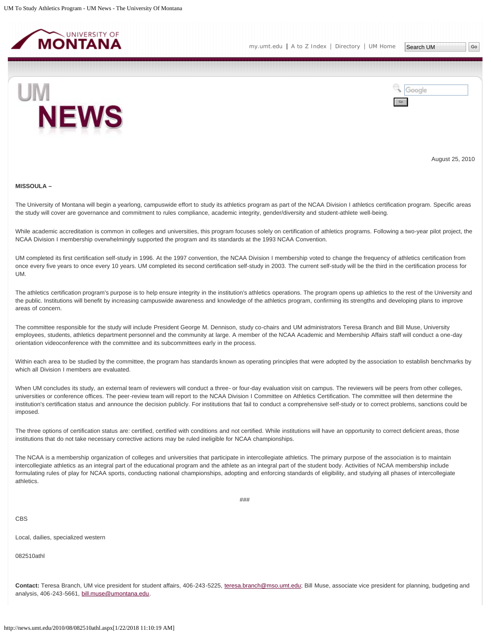<span id="page-18-0"></span>





August 25, 2010

#### **MISSOULA –**

The University of Montana will begin a yearlong, campuswide effort to study its athletics program as part of the NCAA Division I athletics certification program. Specific areas the study will cover are governance and commitment to rules compliance, academic integrity, gender/diversity and student-athlete well-being.

While academic accreditation is common in colleges and universities, this program focuses solely on certification of athletics programs. Following a two-year pilot project, the NCAA Division I membership overwhelmingly supported the program and its standards at the 1993 NCAA Convention.

UM completed its first certification self-study in 1996. At the 1997 convention, the NCAA Division I membership voted to change the frequency of athletics certification from once every five years to once every 10 years. UM completed its second certification self-study in 2003. The current self-study will be the third in the certification process for UM.

The athletics certification program's purpose is to help ensure integrity in the institution's athletics operations. The program opens up athletics to the rest of the University and the public. Institutions will benefit by increasing campuswide awareness and knowledge of the athletics program, confirming its strengths and developing plans to improve areas of concern.

The committee responsible for the study will include President George M. Dennison, study co-chairs and UM administrators Teresa Branch and Bill Muse, University employees, students, athletics department personnel and the community at large. A member of the NCAA Academic and Membership Affairs staff will conduct a one-day orientation videoconference with the committee and its subcommittees early in the process.

Within each area to be studied by the committee, the program has standards known as operating principles that were adopted by the association to establish benchmarks by which all Division I members are evaluated.

When UM concludes its study, an external team of reviewers will conduct a three- or four-day evaluation visit on campus. The reviewers will be peers from other colleges, universities or conference offices. The peer-review team will report to the NCAA Division I Committee on Athletics Certification. The committee will then determine the institution's certification status and announce the decision publicly. For institutions that fail to conduct a comprehensive self-study or to correct problems, sanctions could be imposed.

The three options of certification status are: certified, certified with conditions and not certified. While institutions will have an opportunity to correct deficient areas, those institutions that do not take necessary corrective actions may be ruled ineligible for NCAA championships.

The NCAA is a membership organization of colleges and universities that participate in intercollegiate athletics. The primary purpose of the association is to maintain intercollegiate athletics as an integral part of the educational program and the athlete as an integral part of the student body. Activities of NCAA membership include formulating rules of play for NCAA sports, conducting national championships, adopting and enforcing standards of eligibility, and studying all phases of intercollegiate athletics.

###

CBS

Local, dailies, specialized western

082510athl

**Contact:** Teresa Branch, UM vice president for student affairs, 406-243-5225, [teresa.branch@mso.umt.edu;](mailto:teresa.branch@mso.umt.edu) Bill Muse, associate vice president for planning, budgeting and analysis, 406-243-5661, [bill.muse@umontana.edu](mailto:bill.muse@umontana.edu).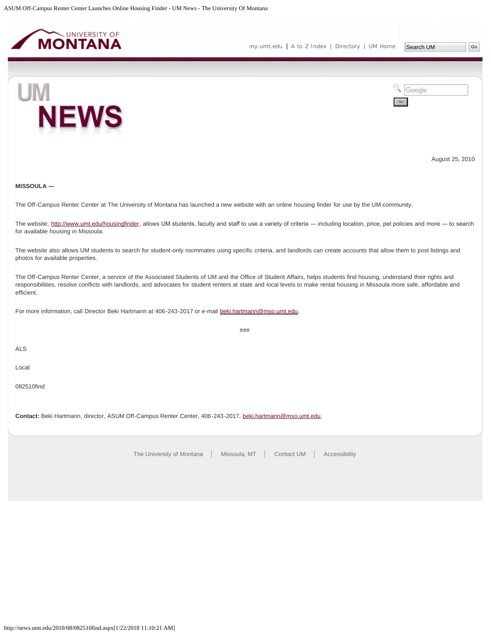<span id="page-20-0"></span>



August 25, 2010

# **MISSOULA ―**

The Off-Campus Renter Center at The University of Montana has launched a new website with an online housing finder for use by the UM community.

The website, <http://www.umt.edu/housingfinder>, allows UM students, faculty and staff to use a variety of criteria — including location, price, pet policies and more — to search for available housing in Missoula.

The website also allows UM students to search for student-only roommates using specific criteria, and landlords can create accounts that allow them to post listings and photos for available properties.

The Off-Campus Renter Center, a service of the Associated Students of UM and the Office of Student Affairs, helps students find housing, understand their rights and responsibilities, resolve conflicts with landlords, and advocates for student renters at state and local levels to make rental housing in Missoula more safe, affordable and efficient.

###

For more information, call Director Beki Hartmann at 406-243-2017 or e-mail [beki.hartmann@mso.umt.edu](mailto:beki.hartmann@mso.umt.edu).

ALS

Local

082510find

**Contact:** Beki Hartmann, director, ASUM Off-Campus Renter Center, 406-243-2017, [beki.hartmann@mso.umt.edu](mailto:beki.hartmann@mso.umt.edu).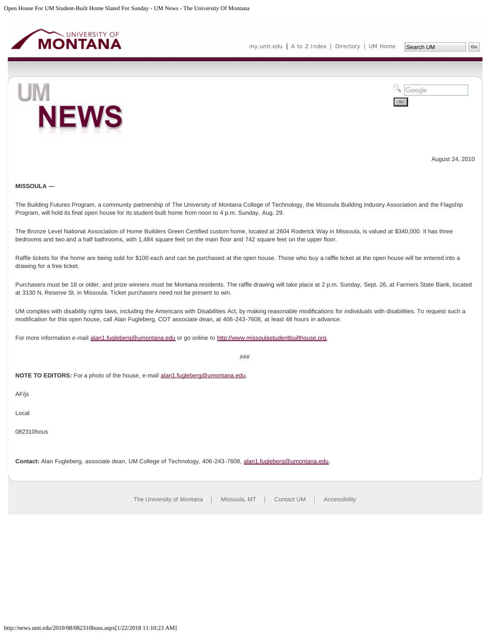<span id="page-21-0"></span>



August 24, 2010

# **MISSOULA ―**

The Building Futures Program, a community partnership of The University of Montana College of Technology, the Missoula Building Industry Association and the Flagship Program, will hold its final open house for its student-built home from noon to 4 p.m. Sunday, Aug. 29.

The Bronze Level National Association of Home Builders Green Certified custom home, located at 2604 Roderick Way in Missoula, is valued at \$340,000. It has three bedrooms and two and a half bathrooms, with 1,484 square feet on the main floor and 742 square feet on the upper floor.

Raffle tickets for the home are being sold for \$100 each and can be purchased at the open house. Those who buy a raffle ticket at the open house will be entered into a drawing for a free ticket.

Purchasers must be 18 or older, and prize winners must be Montana residents. The raffle drawing will take place at 2 p.m. Sunday, Sept. 26, at Farmers State Bank, located at 3130 N. Reserve St. in Missoula. Ticket purchasers need not be present to win.

UM complies with disability rights laws, including the Americans with Disabilities Act, by making reasonable modifications for individuals with disabilities. To request such a modification for this open house, call Alan Fugleberg, COT associate dean, at 406-243-7608, at least 48 hours in advance.

For more information e-mail [alan1.fugleberg@umontana.edu](mailto:alan1.fugleberg@umontana.edu) or go online to [http://www.missoulastudentbuilthouse.org.](http://www.missoulastudentbuilthouse.org/)

###

**NOTE TO EDITORS:** For a photo of the house, e-mail **alan1.fugleberg@umontana.edu.** 

AF/js

Local

082310hous

**Contact:** Alan Fugleberg, associate dean, UM College of Technology, 406-243-7608, [alan1.fugleberg@umontana.edu](mailto:alan1.fugleberg@umontana.edu).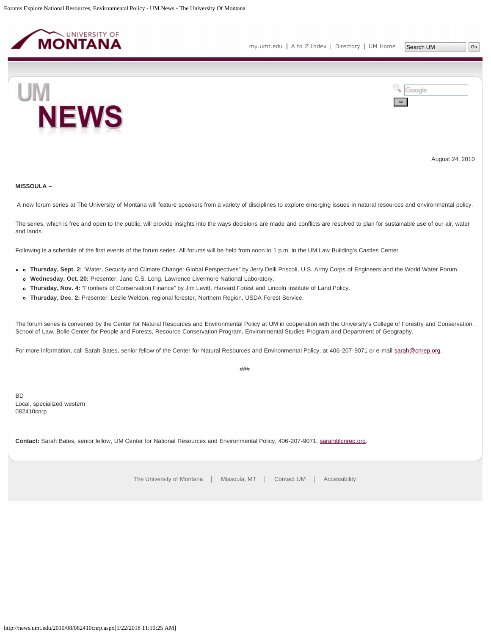<span id="page-22-0"></span>



August 24, 2010

# **MISSOULA –**

A new forum series at The University of Montana will feature speakers from a variety of disciplines to explore emerging issues in natural resources and environmental policy.

The series, which is free and open to the public, will provide insights into the ways decisions are made and conflicts are resolved to plan for sustainable use of our air, water and lands.

Following is a schedule of the first events of the forum series. All forums will be held from noon to 1 p.m. in the UM Law Building's Castles Center

- **Thursday, Sept. 2:** "Water, Security and Climate Change: Global Perspectives" by Jerry Delli Priscoli, U.S. Army Corps of Engineers and the World Water Forum.
	- **Wednesday, Oct. 20:** Presenter: Jane C.S. Long, Lawrence Livermore National Laboratory.
	- **Thursday, Nov. 4:** "Frontiers of Conservation Finance" by Jim Levitt, Harvard Forest and Lincoln Institute of Land Policy.
	- **Thursday, Dec. 2:** Presenter: Leslie Weldon, regional forester, Northern Region, USDA Forest Service.

The forum series is convened by the Center for Natural Resources and Environmental Policy at UM in cooperation with the University's College of Forestry and Conservation, School of Law, Bolle Center for People and Forests, Resource Conservation Program, Environmental Studies Program and Department of Geography.

For more information, call Sarah Bates, senior fellow of the Center for Natural Resources and Environmental Policy, at 406-207-9071 or e-mail [sarah@cnrep.org](mailto:sarah@cnrep.org).

###

BD Local, specialized western 082410cnrp

**Contact:** Sarah Bates, senior fellow, UM Center for National Resources and Environmental Policy, 406-207-9071, [sarah@cnrep.org](mailto:sarah@cnrep.org).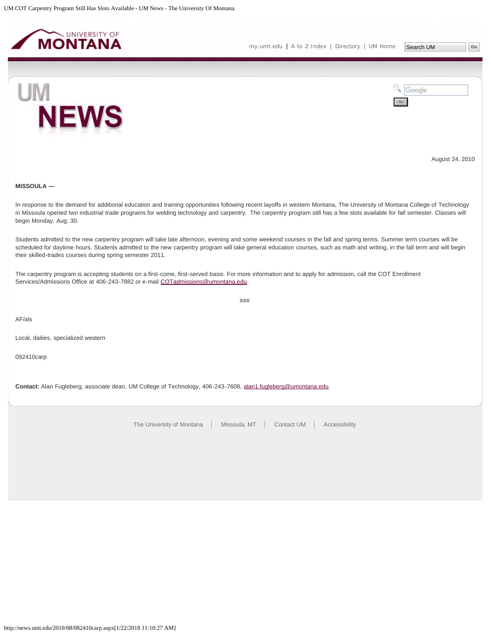<span id="page-23-0"></span>



August 24, 2010

# **MISSOULA ―**

In response to the demand for additional education and training opportunities following recent layoffs in western Montana, The University of Montana College of Technology in Missoula opened two industrial trade programs for welding technology and carpentry. The carpentry program still has a few slots available for fall semester. Classes will begin Monday, Aug. 30.

Students admitted to the new carpentry program will take late afternoon, evening and some weekend courses in the fall and spring terms. Summer term courses will be scheduled for daytime hours. Students admitted to the new carpentry program will take general education courses, such as math and writing, in the fall term and will begin their skilled-trades courses during spring semester 2011.

The carpentry program is accepting students on a first-come, first-served basis. For more information and to apply for admission, call the COT Enrollment Services/Admissions Office at 406-243-7882 or e-mail [COTadmissions@umontana.edu](mailto:COTadmissions@umontana.edu).

###

AF/als

Local, dailies, specialized western

092410carp

**Contact:** Alan Fugleberg, associate dean, UM College of Technology, 406-243-7608, [alan1.fugleberg@umontana.edu](mailto:alan1.fugleberg@umontana.edu).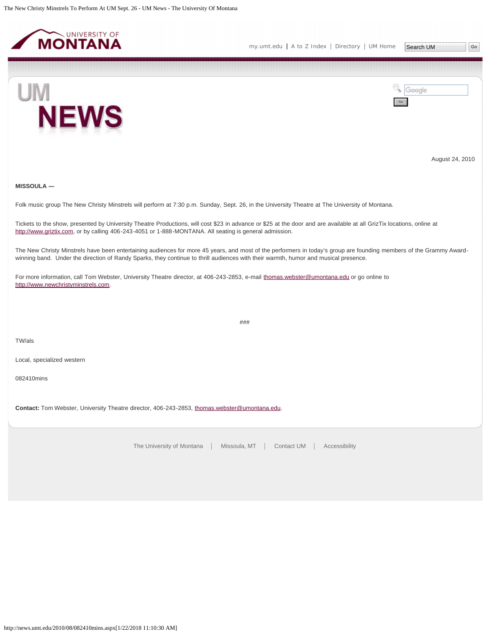<span id="page-24-0"></span>

**NEWS** 



August 24, 2010

**MISSOULA ―**

UM

Folk music group The New Christy Minstrels will perform at 7:30 p.m. Sunday, Sept. 26, in the University Theatre at The University of Montana.

Tickets to the show, presented by University Theatre Productions, will cost \$23 in advance or \$25 at the door and are available at all GrizTix locations, online at [http://www.griztix.com](http://www.griztix.com/), or by calling 406-243-4051 or 1-888-MONTANA. All seating is general admission.

The New Christy Minstrels have been entertaining audiences for more 45 years, and most of the performers in today's group are founding members of the Grammy Awardwinning band. Under the direction of Randy Sparks, they continue to thrill audiences with their warmth, humor and musical presence.

###

For more information, call Tom Webster, University Theatre director, at 406-243-2853, e-mail [thomas.webster@umontana.edu](mailto:thomas.webster@umontana.edu) or go online to [http://www.newchristyminstrels.com.](http://www.newchristyminstrels.com/)

TW/als

Local, specialized western

082410mins

**Contact:** Tom Webster, University Theatre director, 406-243-2853, [thomas.webster@umontana.edu](mailto:thomas.webster@umontana.edu).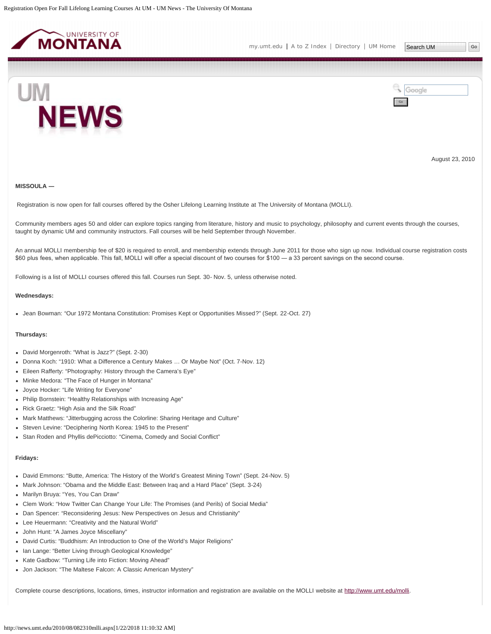<span id="page-25-0"></span>



August 23, 2010

#### **MISSOULA ―**

Registration is now open for fall courses offered by the Osher Lifelong Learning Institute at The University of Montana (MOLLI).

Community members ages 50 and older can explore topics ranging from literature, history and music to psychology, philosophy and current events through the courses, taught by dynamic UM and community instructors. Fall courses will be held September through November.

An annual MOLLI membership fee of \$20 is required to enroll, and membership extends through June 2011 for those who sign up now. Individual course registration costs \$60 plus fees, when applicable. This fall, MOLLI will offer a special discount of two courses for \$100 ― a 33 percent savings on the second course.

Following is a list of MOLLI courses offered this fall. Courses run Sept. 30- Nov. 5, unless otherwise noted.

# **Wednesdays:**

Jean Bowman: "Our 1972 Montana Constitution: Promises Kept or Opportunities Missed?" (Sept. 22-Oct. 27)

#### **Thursdays:**

- David Morgenroth: "What is Jazz?" (Sept. 2-30)
- Donna Koch: "1910: What a Difference a Century Makes … Or Maybe Not" (Oct. 7-Nov. 12)
- Eileen Rafferty: "Photography: History through the Camera's Eye"
- Minke Medora: "The Face of Hunger in Montana"
- Joyce Hocker: "Life Writing for Everyone"
- Philip Bornstein: "Healthy Relationships with Increasing Age"
- Rick Graetz: "High Asia and the Silk Road"
- Mark Matthews: "Jitterbugging across the Colorline: Sharing Heritage and Culture"
- Steven Levine: "Deciphering North Korea: 1945 to the Present"
- Stan Roden and Phyllis dePicciotto: "Cinema, Comedy and Social Conflict"

#### **Fridays:**

- David Emmons: "Butte, America: The History of the World's Greatest Mining Town" (Sept. 24-Nov. 5)
- Mark Johnson: "Obama and the Middle East: Between Iraq and a Hard Place" (Sept. 3-24)
- Marilyn Bruya: "Yes, You Can Draw"
- Clem Work: "How Twitter Can Change Your Life: The Promises (and Perils) of Social Media"
- Dan Spencer: "Reconsidering Jesus: New Perspectives on Jesus and Christianity"
- Lee Heuermann: "Creativity and the Natural World"
- John Hunt: "A James Joyce Miscellany"
- David Curtis: "Buddhism: An Introduction to One of the World's Major Religions"
- Ian Lange: "Better Living through Geological Knowledge"
- Kate Gadbow: "Turning Life into Fiction: Moving Ahead"
- Jon Jackson: "The Maltese Falcon: A Classic American Mystery"

Complete course descriptions, locations, times, instructor information and registration are available on the MOLLI website at [http://www.umt.edu/molli.](http://www.umt.edu/molli)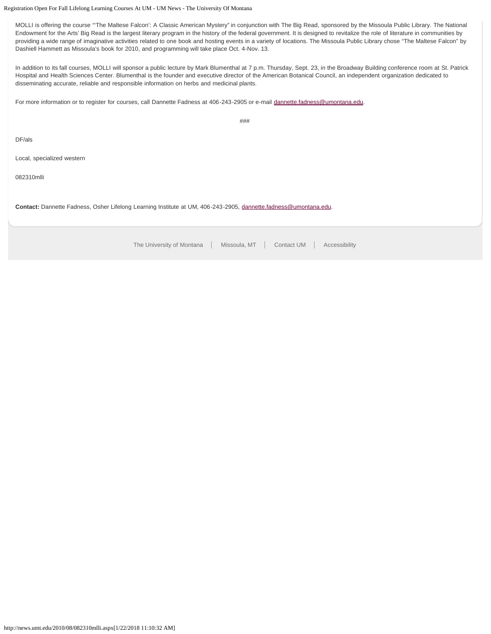# Registration Open For Fall Lifelong Learning Courses At UM - UM News - The University Of Montana

MOLLI is offering the course "'The Maltese Falcon': A Classic American Mystery" in conjunction with The Big Read, sponsored by the Missoula Public Library. The National Endowment for the Arts' Big Read is the largest literary program in the history of the federal government. It is designed to revitalize the role of literature in communities by providing a wide range of imaginative activities related to one book and hosting events in a variety of locations. The Missoula Public Library chose "The Maltese Falcon" by Dashiell Hammett as Missoula's book for 2010, and programming will take place Oct. 4-Nov. 13.

In addition to its fall courses, MOLLI will sponsor a public lecture by Mark Blumenthal at 7 p.m. Thursday, Sept. 23, in the Broadway Building conference room at St. Patrick Hospital and Health Sciences Center. Blumenthal is the founder and executive director of the American Botanical Council, an independent organization dedicated to disseminating accurate, reliable and responsible information on herbs and medicinal plants.

For more information or to register for courses, call Dannette Fadness at 406-243-2905 or e-mail [dannette.fadness@umontana.edu.](mailto:dannette.fadness@umontana.edu)

###

DF/als

Local, specialized western

082310mlli

**Contact:** Dannette Fadness, Osher Lifelong Learning Institute at UM, 406-243-2905, [dannette.fadness@umontana.edu.](mailto:dannette.fadness@umontana.edu)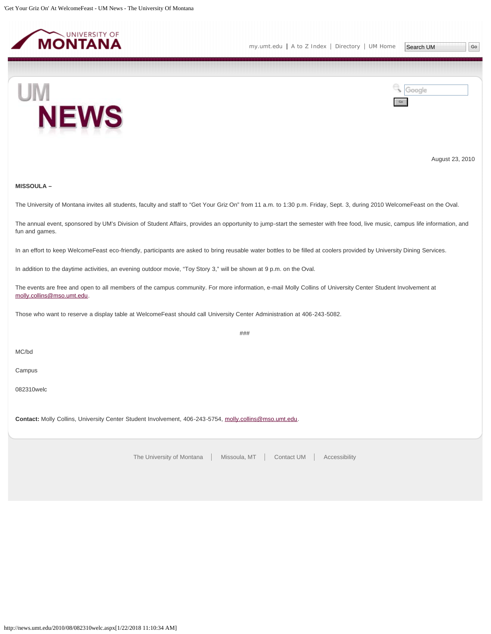<span id="page-27-0"></span>

**NEWS** 



August 23, 2010

# **MISSOULA –**

UM

The University of Montana invites all students, faculty and staff to "Get Your Griz On" from 11 a.m. to 1:30 p.m. Friday, Sept. 3, during 2010 WelcomeFeast on the Oval.

The annual event, sponsored by UM's Division of Student Affairs, provides an opportunity to jump-start the semester with free food, live music, campus life information, and fun and games.

In an effort to keep WelcomeFeast eco-friendly, participants are asked to bring reusable water bottles to be filled at coolers provided by University Dining Services.

In addition to the daytime activities, an evening outdoor movie, "Toy Story 3," will be shown at 9 p.m. on the Oval.

The events are free and open to all members of the campus community. For more information, e-mail Molly Collins of University Center Student Involvement at [molly.collins@mso.umt.edu.](mailto:molly.collins@mso.umt.edu)

Those who want to reserve a display table at WelcomeFeast should call University Center Administration at 406-243-5082.

###

MC/bd

Campus

082310welc

**Contact:** Molly Collins, University Center Student Involvement, 406-243-5754, [molly.collins@mso.umt.edu.](mailto:molly.collins@mso.umt.edu)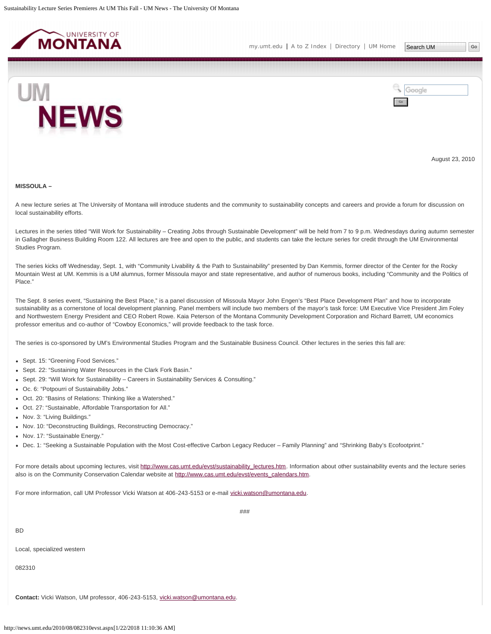<span id="page-28-0"></span>



August 23, 2010

#### **MISSOULA –**

A new lecture series at The University of Montana will introduce students and the community to sustainability concepts and careers and provide a forum for discussion on local sustainability efforts.

Lectures in the series titled "Will Work for Sustainability – Creating Jobs through Sustainable Development" will be held from 7 to 9 p.m. Wednesdays during autumn semester in Gallagher Business Building Room 122. All lectures are free and open to the public, and students can take the lecture series for credit through the UM Environmental Studies Program.

The series kicks off Wednesday, Sept. 1, with "Community Livability & the Path to Sustainability" presented by Dan Kemmis, former director of the Center for the Rocky Mountain West at UM. Kemmis is a UM alumnus, former Missoula mayor and state representative, and author of numerous books, including "Community and the Politics of Place."

The Sept. 8 series event, "Sustaining the Best Place," is a panel discussion of Missoula Mayor John Engen's "Best Place Development Plan" and how to incorporate sustainability as a cornerstone of local development planning. Panel members will include two members of the mayor's task force: UM Executive Vice President Jim Foley and Northwestern Energy President and CEO Robert Rowe. Kaia Peterson of the Montana Community Development Corporation and Richard Barrett, UM economics professor emeritus and co-author of "Cowboy Economics," will provide feedback to the task force.

The series is co-sponsored by UM's Environmental Studies Program and the Sustainable Business Council. Other lectures in the series this fall are:

- Sept. 15: "Greening Food Services."
- Sept. 22: "Sustaining Water Resources in the Clark Fork Basin."
- Sept. 29: "Will Work for Sustainability Careers in Sustainability Services & Consulting."
- Oc. 6: "Potpourri of Sustainability Jobs."
- Oct. 20: "Basins of Relations: Thinking like a Watershed."
- Oct. 27: "Sustainable, Affordable Transportation for All."
- Nov. 3: "Living Buildings."
- Nov. 10: "Deconstructing Buildings, Reconstructing Democracy."
- Nov. 17: "Sustainable Energy."

Dec. 1: "Seeking a Sustainable Population with the Most Cost-effective Carbon Legacy Reducer – Family Planning" and "Shrinking Baby's Ecofootprint."

For more details about upcoming lectures, visit [http://www.cas.umt.edu/evst/sustainability\\_lectures.htm](http://www.cas.umt.edu/evst/sustainability_lectures.htm). Information about other sustainability events and the lecture series also is on the Community Conservation Calendar website at [http://www.cas.umt.edu/evst/events\\_calendars.htm](http://www.cas.umt.edu/evst/events_calendars.htm).

For more information, call UM Professor Vicki Watson at 406-243-5153 or e-mail [vicki.watson@umontana.edu](mailto:vicki.watson@umontana.edu).

BD

Local, specialized western

082310

Contact: Vicki Watson, UM professor, 406-243-5153, [vicki.watson@umontana.edu](mailto:vicki.watson@umontana.edu).

###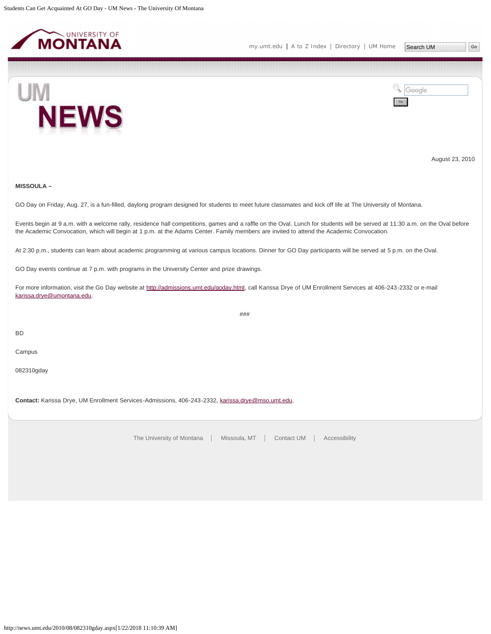<span id="page-30-0"></span>





August 23, 2010

# **MISSOULA –**

GO Day on Friday, Aug. 27, is a fun-filled, daylong program designed for students to meet future classmates and kick off life at The University of Montana.

Events begin at 9 a.m. with a welcome rally, residence hall competitions, games and a raffle on the Oval. Lunch for students will be served at 11:30 a.m. on the Oval before the Academic Convocation, which will begin at 1 p.m. at the Adams Center. Family members are invited to attend the Academic Convocation.

###

At 2:30 p.m., students can learn about academic programming at various campus locations. Dinner for GO Day participants will be served at 5 p.m. on the Oval.

GO Day events continue at 7 p.m. with programs in the University Center and prize drawings.

For more information, visit the Go Day website at [http://admissions.umt.edu/goday.html,](http://admissions.umt.edu/goday.html) call Karissa Drye of UM Enrollment Services at 406-243-2332 or e-mail [karissa.drye@umontana.edu](mailto:karissa.drye@umontana.edu).

BD

Campus

082310gday

Contact: Karissa Drye, UM Enrollment Services-Admissions, 406-243-2332, [karissa.drye@mso.umt.edu](mailto:karissa.drye@mso.umt.edu).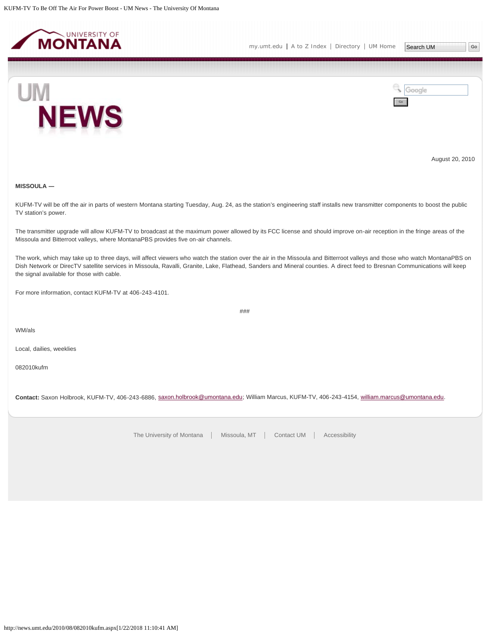<span id="page-31-0"></span>



August 20, 2010

# **MISSOULA ―**

KUFM-TV will be off the air in parts of western Montana starting Tuesday, Aug. 24, as the station's engineering staff installs new transmitter components to boost the public TV station's power.

The transmitter upgrade will allow KUFM-TV to broadcast at the maximum power allowed by its FCC license and should improve on-air reception in the fringe areas of the Missoula and Bitterroot valleys, where MontanaPBS provides five on-air channels.

The work, which may take up to three days, will affect viewers who watch the station over the air in the Missoula and Bitterroot valleys and those who watch MontanaPBS on Dish Network or DirecTV satellite services in Missoula, Ravalli, Granite, Lake, Flathead, Sanders and Mineral counties. A direct feed to Bresnan Communications will keep the signal available for those with cable.

###

For more information, contact KUFM-TV at 406-243-4101.

WM/als

Local, dailies, weeklies

082010kufm

**Contact:** Saxon Holbrook, KUFM-TV, 406-243-6886, [saxon.holbrook@umontana.edu](mailto:saxon.holbrook@umontana.edu); William Marcus, KUFM-TV, 406-243-4154, [william.marcus@umontana.edu.](mailto:william.marcus@umontana.edu)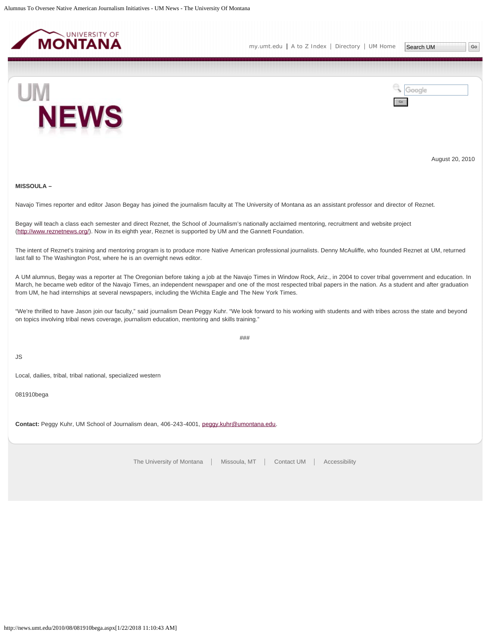<span id="page-32-0"></span>



August 20, 2010

# **MISSOULA –**

Navajo Times reporter and editor Jason Begay has joined the journalism faculty at The University of Montana as an assistant professor and director of Reznet.

Begay will teach a class each semester and direct Reznet, the School of Journalism's nationally acclaimed mentoring, recruitment and website project (<http://www.reznetnews.org/>). Now in its eighth year, Reznet is supported by UM and the Gannett Foundation.

The intent of Reznet's training and mentoring program is to produce more Native American professional journalists. Denny McAuliffe, who founded Reznet at UM, returned last fall to The Washington Post, where he is an overnight news editor.

A UM alumnus, Begay was a reporter at The Oregonian before taking a job at the Navajo Times in Window Rock, Ariz., in 2004 to cover tribal government and education. In March, he became web editor of the Navajo Times, an independent newspaper and one of the most respected tribal papers in the nation. As a student and after graduation from UM, he had internships at several newspapers, including the Wichita Eagle and The New York Times.

"We're thrilled to have Jason join our faculty," said journalism Dean Peggy Kuhr. "We look forward to his working with students and with tribes across the state and beyond on topics involving tribal news coverage, journalism education, mentoring and skills training."

###

JS

Local, dailies, tribal, tribal national, specialized western

081910bega

**Contact:** Peggy Kuhr, UM School of Journalism dean, 406-243-4001, [peggy.kuhr@umontana.edu](mailto:peggy.kuhr@umontana.edu).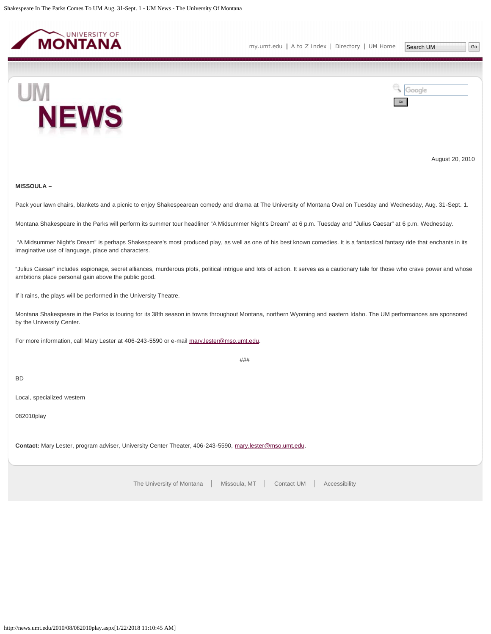<span id="page-33-0"></span>



August 20, 2010

# **MISSOULA –**

Pack your lawn chairs, blankets and a picnic to enjoy Shakespearean comedy and drama at The University of Montana Oval on Tuesday and Wednesday, Aug. 31-Sept. 1.

Montana Shakespeare in the Parks will perform its summer tour headliner "A Midsummer Night's Dream" at 6 p.m. Tuesday and "Julius Caesar" at 6 p.m. Wednesday.

"A Midsummer Night's Dream" is perhaps Shakespeare's most produced play, as well as one of his best known comedies. It is a fantastical fantasy ride that enchants in its imaginative use of language, place and characters.

"Julius Caesar" includes espionage, secret alliances, murderous plots, political intrigue and lots of action. It serves as a cautionary tale for those who crave power and whose ambitions place personal gain above the public good.

If it rains, the plays will be performed in the University Theatre.

Montana Shakespeare in the Parks is touring for its 38th season in towns throughout Montana, northern Wyoming and eastern Idaho. The UM performances are sponsored by the University Center.

For more information, call Mary Lester at 406-243-5590 or e-mail [mary.lester@mso.umt.edu](mailto:mary.lester@mso.umt.edu).

###

BD

Local, specialized western

082010play

**Contact:** Mary Lester, program adviser, University Center Theater, 406-243-5590, [mary.lester@mso.umt.edu.](mailto:mary.lester@mso.umt.edu)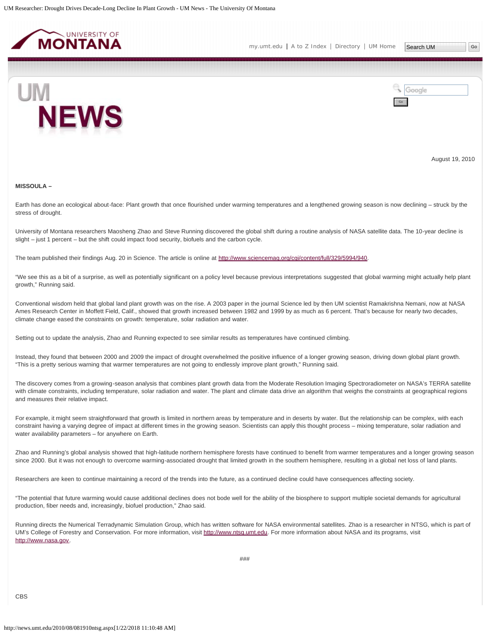<span id="page-34-0"></span>



August 19, 2010

#### **MISSOULA –**

Earth has done an ecological about-face: Plant growth that once flourished under warming temperatures and a lengthened growing season is now declining – struck by the stress of drought.

University of Montana researchers Maosheng Zhao and Steve Running discovered the global shift during a routine analysis of NASA satellite data. The 10-year decline is slight – just 1 percent – but the shift could impact food security, biofuels and the carbon cycle.

The team published their findings Aug. 20 in Science. The article is online at [http://www.sciencemag.org/cgi/content/full/329/5994/940.](http://www.sciencemag.org/cgi/content/full/329/5994/940)

"We see this as a bit of a surprise, as well as potentially significant on a policy level because previous interpretations suggested that global warming might actually help plant growth," Running said.

Conventional wisdom held that global land plant growth was on the rise. A 2003 paper in the journal Science led by then UM scientist Ramakrishna Nemani, now at NASA Ames Research Center in Moffett Field, Calif., showed that growth increased between 1982 and 1999 by as much as 6 percent. That's because for nearly two decades, climate change eased the constraints on growth: temperature, solar radiation and water.

Setting out to update the analysis, Zhao and Running expected to see similar results as temperatures have continued climbing.

Instead, they found that between 2000 and 2009 the impact of drought overwhelmed the positive influence of a longer growing season, driving down global plant growth. "This is a pretty serious warning that warmer temperatures are not going to endlessly improve plant growth," Running said.

The discovery comes from a growing-season analysis that combines plant growth data from the Moderate Resolution Imaging Spectroradiometer on NASA's TERRA satellite with climate constraints, including temperature, solar radiation and water. The plant and climate data drive an algorithm that weighs the constraints at geographical regions and measures their relative impact.

For example, it might seem straightforward that growth is limited in northern areas by temperature and in deserts by water. But the relationship can be complex, with each constraint having a varying degree of impact at different times in the growing season. Scientists can apply this thought process – mixing temperature, solar radiation and water availability parameters – for anywhere on Earth.

Zhao and Running's global analysis showed that high-latitude northern hemisphere forests have continued to benefit from warmer temperatures and a longer growing season since 2000. But it was not enough to overcome warming-associated drought that limited growth in the southern hemisphere, resulting in a global net loss of land plants.

Researchers are keen to continue maintaining a record of the trends into the future, as a continued decline could have consequences affecting society.

"The potential that future warming would cause additional declines does not bode well for the ability of the biosphere to support multiple societal demands for agricultural production, fiber needs and, increasingly, biofuel production," Zhao said.

Running directs the Numerical Terradynamic Simulation Group, which has written software for NASA environmental satellites. Zhao is a researcher in NTSG, which is part of UM's College of Forestry and Conservation. For more information, visit [http://www.ntsg.umt.edu.](http://www.ntsg.umt.edu/) For more information about NASA and its programs, visit [http://www.nasa.gov](http://www.nasa.gov/).

CBS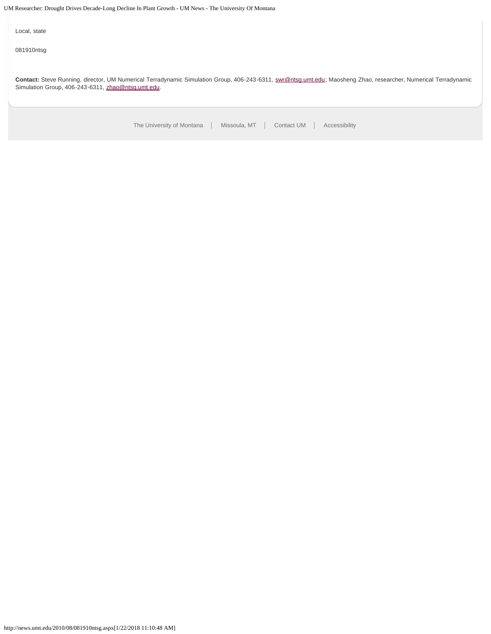UM Researcher: Drought Drives Decade-Long Decline In Plant Growth - UM News - The University Of Montana

Local, state

081910ntsg

**Contact:** Steve Running, director, UM Numerical Terradynamic Simulation Group, 406-243-6311, [swr@ntsg.umt.edu](mailto:swr@ntsg.umt.edu); Maosheng Zhao, researcher, Numerical Terradynamic Simulation Group, 406-243-6311, [zhao@ntsg.umt.edu.](mailto:zhao@ntsg.umt.edu)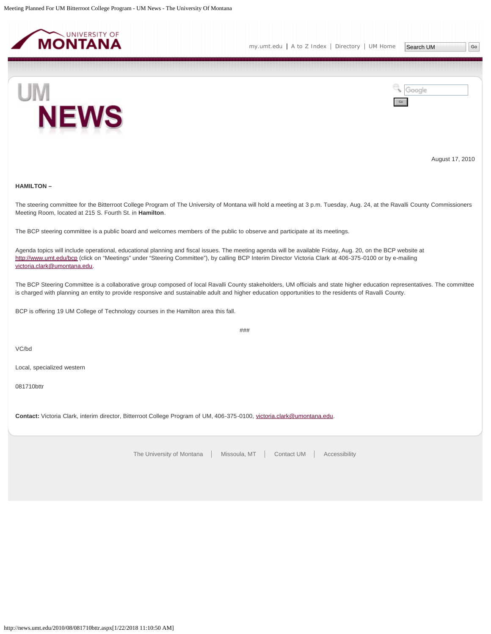<span id="page-36-0"></span>



August 17, 2010

# **HAMILTON –**

The steering committee for the Bitterroot College Program of The University of Montana will hold a meeting at 3 p.m. Tuesday, Aug. 24, at the Ravalli County Commissioners Meeting Room, located at 215 S. Fourth St. in **Hamilton**.

The BCP steering committee is a public board and welcomes members of the public to observe and participate at its meetings.

Agenda topics will include operational, educational planning and fiscal issues. The meeting agenda will be available Friday, Aug. 20, on the BCP website at [http://www.umt.edu/bcp](https://messaging.umt.edu/exchweb/bin/redir.asp?URL=http://www.umt.edu/bcp) (click on "Meetings" under "Steering Committee"), by calling BCP Interim Director Victoria Clark at 406-375-0100 or by e-mailing [victoria.clark@umontana.edu](mailto:victoria.clark@umontana.edu).

The BCP Steering Committee is a collaborative group composed of local Ravalli County stakeholders, UM officials and state higher education representatives. The committee is charged with planning an entity to provide responsive and sustainable adult and higher education opportunities to the residents of Ravalli County.

BCP is offering 19 UM College of Technology courses in the Hamilton area this fall.

###

VC/bd

Local, specialized western

081710bttr

**Contact:** Victoria Clark, interim director, Bitterroot College Program of UM, 406-375-0100, [victoria.clark@umontana.edu](mailto:victoria.clark@umontana.edu).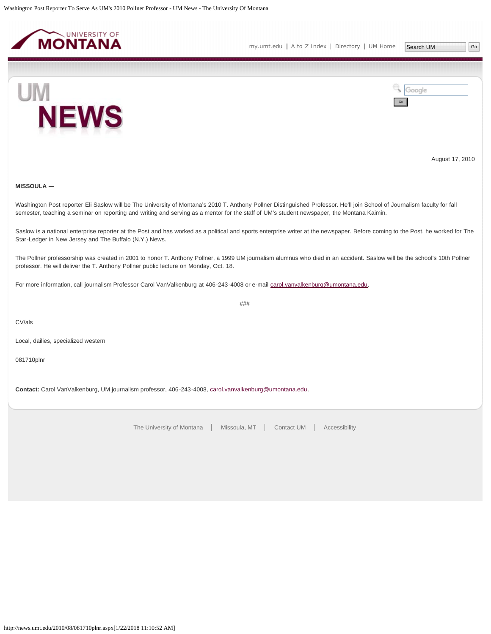<span id="page-37-0"></span>



August 17, 2010

# **MISSOULA ―**

Washington Post reporter Eli Saslow will be The University of Montana's 2010 T. Anthony Pollner Distinguished Professor. He'll join School of Journalism faculty for fall semester, teaching a seminar on reporting and writing and serving as a mentor for the staff of UM's student newspaper, the Montana Kaimin*.*

Saslow is a national enterprise reporter at the Post and has worked as a political and sports enterprise writer at the newspaper. Before coming to the Post, he worked for The Star-Ledger in New Jersey and The Buffalo (N.Y.) News.

The Pollner professorship was created in 2001 to honor T. Anthony Pollner, a 1999 UM journalism alumnus who died in an accident. Saslow will be the school's 10th Pollner professor. He will deliver the T. Anthony Pollner public lecture on Monday, Oct. 18.

For more information, call journalism Professor Carol VanValkenburg at 406-243-4008 or e-mail [carol.vanvalkenburg@umontana.edu](mailto:carol.vanvalkenburg@umontana.edu).

###

CV/als

Local, dailies, specialized western

081710plnr

Contact: Carol VanValkenburg, UM journalism professor, 406-243-4008, [carol.vanvalkenburg@umontana.edu](mailto:carol.vanvalkenburg@umontana.edu).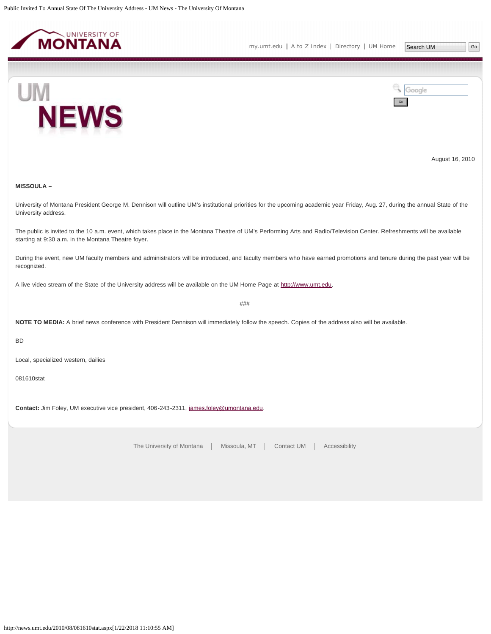<span id="page-38-0"></span>



August 16, 2010

# **MISSOULA –**

University of Montana President George M. Dennison will outline UM's institutional priorities for the upcoming academic year Friday, Aug. 27, during the annual State of the University address.

The public is invited to the 10 a.m. event, which takes place in the Montana Theatre of UM's Performing Arts and Radio/Television Center. Refreshments will be available starting at 9:30 a.m. in the Montana Theatre foyer.

During the event, new UM faculty members and administrators will be introduced, and faculty members who have earned promotions and tenure during the past year will be recognized.

A live video stream of the State of the University address will be available on the UM Home Page at [http://www.umt.edu](http://www.umt.edu/).

###

**NOTE TO MEDIA:** A brief news conference with President Dennison will immediately follow the speech. Copies of the address also will be available.

BD

Local, specialized western, dailies

081610stat

**Contact:** Jim Foley, UM executive vice president, 406-243-2311, [james.foley@umontana.edu](mailto:james.foley@umontana.edu).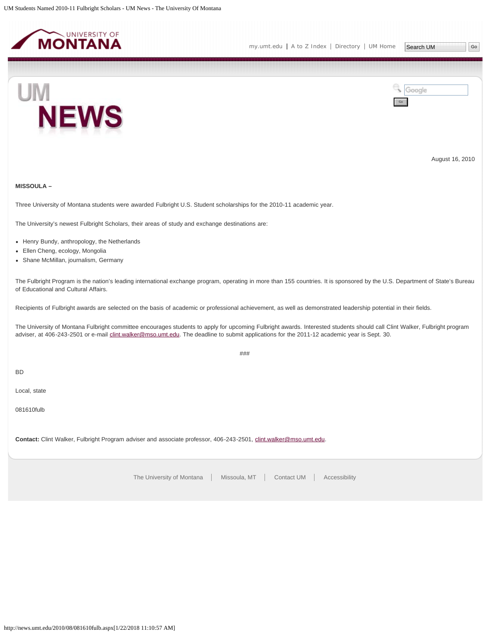<span id="page-39-0"></span>



August 16, 2010

# **MISSOULA –**

Three University of Montana students were awarded Fulbright U.S. Student scholarships for the 2010-11 academic year.

The University's newest Fulbright Scholars, their areas of study and exchange destinations are:

- Henry Bundy, anthropology, the Netherlands
- Ellen Cheng, ecology, Mongolia
- Shane McMillan, journalism, Germany

The Fulbright Program is the nation's leading international exchange program, operating in more than 155 countries. It is sponsored by the U.S. Department of State's Bureau of Educational and Cultural Affairs.

Recipients of Fulbright awards are selected on the basis of academic or professional achievement, as well as demonstrated leadership potential in their fields.

The University of Montana Fulbright committee encourages students to apply for upcoming Fulbright awards. Interested students should call Clint Walker, Fulbright program adviser, at 406-243-2501 or e-mail *clint.walker@mso.umt.edu*. The deadline to submit applications for the 2011-12 academic year is Sept. 30.

###

BD

Local, state

081610fulb

**Contact:** Clint Walker, Fulbright Program adviser and associate professor, 406-243-2501, [clint.walker@mso.umt.edu](mailto:clint.walker@mso.umt.edu).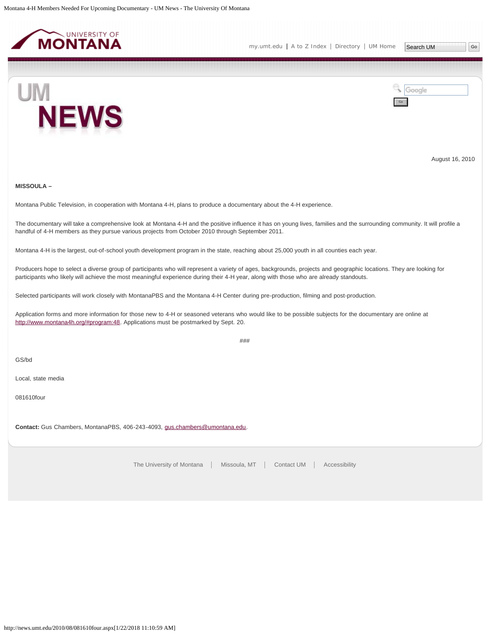<span id="page-40-0"></span>



August 16, 2010

# **MISSOULA –**

Montana Public Television, in cooperation with Montana 4-H, plans to produce a documentary about the 4-H experience.

The documentary will take a comprehensive look at Montana 4-H and the positive influence it has on young lives, families and the surrounding community. It will profile a handful of 4-H members as they pursue various projects from October 2010 through September 2011.

Montana 4-H is the largest, out-of-school youth development program in the state, reaching about 25,000 youth in all counties each year.

Producers hope to select a diverse group of participants who will represent a variety of ages, backgrounds, projects and geographic locations. They are looking for participants who likely will achieve the most meaningful experience during their 4-H year, along with those who are already standouts.

Selected participants will work closely with MontanaPBS and the Montana 4-H Center during pre-production, filming and post-production.

Application forms and more information for those new to 4-H or seasoned veterans who would like to be possible subjects for the documentary are online at [http://www.montana4h.org/#program:48.](http://www.montana4h.org/#program:48) Applications must be postmarked by Sept. 20.

###

GS/bd

Local, state media

081610four

**Contact:** Gus Chambers, MontanaPBS, 406-243-4093, [gus.chambers@umontana.edu](mailto:gus.chambers@umontana.edu).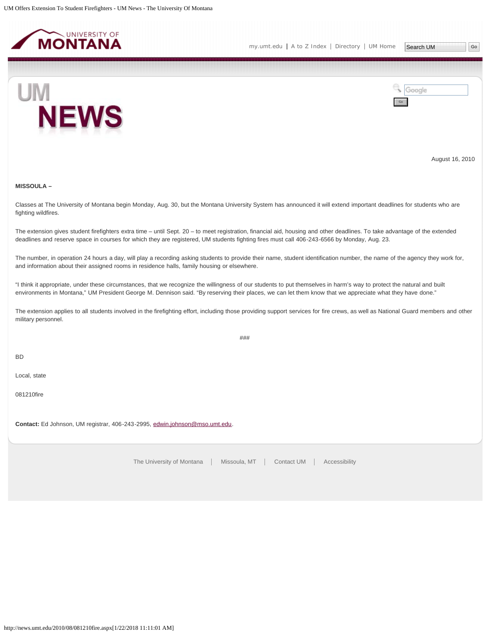<span id="page-41-0"></span>



August 16, 2010

# **MISSOULA –**

Classes at The University of Montana begin Monday, Aug. 30, but the Montana University System has announced it will extend important deadlines for students who are fighting wildfires.

The extension gives student firefighters extra time – until Sept. 20 – to meet registration, financial aid, housing and other deadlines. To take advantage of the extended deadlines and reserve space in courses for which they are registered, UM students fighting fires must call 406-243-6566 by Monday, Aug. 23.

The number, in operation 24 hours a day, will play a recording asking students to provide their name, student identification number, the name of the agency they work for, and information about their assigned rooms in residence halls, family housing or elsewhere.

"I think it appropriate, under these circumstances, that we recognize the willingness of our students to put themselves in harm's way to protect the natural and built environments in Montana," UM President George M. Dennison said. "By reserving their places, we can let them know that we appreciate what they have done."

The extension applies to all students involved in the firefighting effort, including those providing support services for fire crews, as well as National Guard members and other military personnel.

###

BD

Local, state

081210fire

**Contact:** Ed Johnson, UM registrar, 406-243-2995, [edwin.johnson@mso.umt.edu](mailto:edwin.johnson@mso.umt.edu).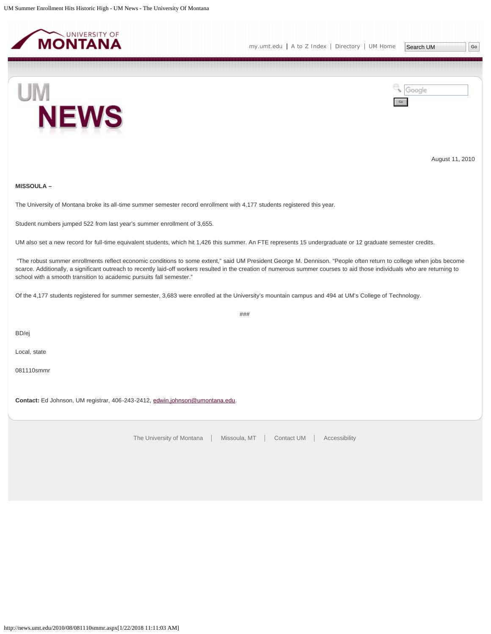<span id="page-42-0"></span>



August 11, 2010

# **MISSOULA –**

The University of Montana broke its all-time summer semester record enrollment with 4,177 students registered this year.

Student numbers jumped 522 from last year's summer enrollment of 3,655.

UM also set a new record for full-time equivalent students, which hit 1,426 this summer. An FTE represents 15 undergraduate or 12 graduate semester credits.

"The robust summer enrollments reflect economic conditions to some extent," said UM President George M. Dennison. "People often return to college when jobs become scarce. Additionally, a significant outreach to recently laid-off workers resulted in the creation of numerous summer courses to aid those individuals who are returning to school with a smooth transition to academic pursuits fall semester."

###

Of the 4,177 students registered for summer semester, 3,683 were enrolled at the University's mountain campus and 494 at UM's College of Technology.

BD/ej

Local, state

081110smmr

**Contact:** Ed Johnson, UM registrar, 406-243-2412, [edwin.johnson@umontana.edu](mailto:edwin.johnson@umontana.edu).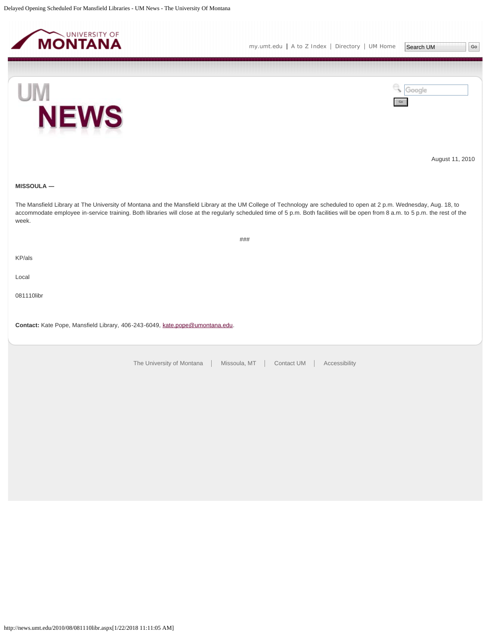<span id="page-43-0"></span>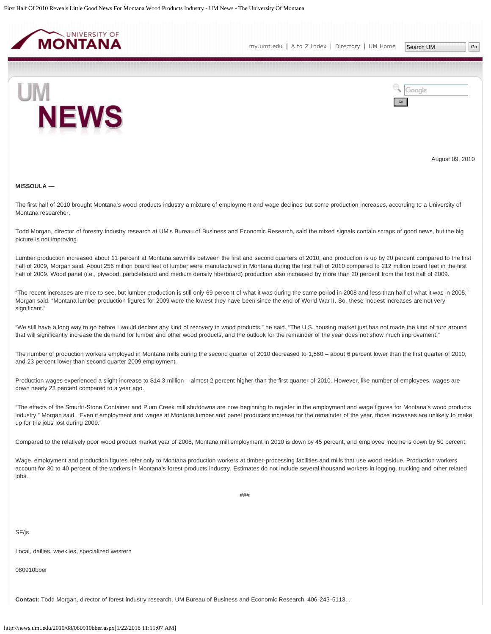<span id="page-44-0"></span>

[my.umt.edu](http://my.umt.edu/) | [A to Z Index](http://www.umt.edu/search/atoz/) | [Directory](http://www.umt.edu/directory/) | [UM Home](http://www.umt.edu/)





Google Go

August 09, 2010

#### **MISSOULA —**

The first half of 2010 brought Montana's wood products industry a mixture of employment and wage declines but some production increases, according to a University of Montana researcher.

Todd Morgan, director of forestry industry research at UM's Bureau of Business and Economic Research, said the mixed signals contain scraps of good news, but the big picture is not improving.

Lumber production increased about 11 percent at Montana sawmills between the first and second quarters of 2010, and production is up by 20 percent compared to the first half of 2009, Morgan said. About 256 million board feet of lumber were manufactured in Montana during the first half of 2010 compared to 212 million board feet in the first half of 2009. Wood panel (i.e., plywood, particleboard and medium density fiberboard) production also increased by more than 20 percent from the first half of 2009.

"The recent increases are nice to see, but lumber production is still only 69 percent of what it was during the same period in 2008 and less than half of what it was in 2005," Morgan said. "Montana lumber production figures for 2009 were the lowest they have been since the end of World War II. So, these modest increases are not very significant."

"We still have a long way to go before I would declare any kind of recovery in wood products," he said. "The U.S. housing market just has not made the kind of turn around that will significantly increase the demand for lumber and other wood products, and the outlook for the remainder of the year does not show much improvement."

The number of production workers employed in Montana mills during the second quarter of 2010 decreased to 1,560 – about 6 percent lower than the first quarter of 2010, and 23 percent lower than second quarter 2009 employment.

Production wages experienced a slight increase to \$14.3 million – almost 2 percent higher than the first quarter of 2010. However, like number of employees, wages are down nearly 23 percent compared to a year ago.

"The effects of the Smurfit-Stone Container and Plum Creek mill shutdowns are now beginning to register in the employment and wage figures for Montana's wood products industry," Morgan said. "Even if employment and wages at Montana lumber and panel producers increase for the remainder of the year, those increases are unlikely to make up for the jobs lost during 2009."

Compared to the relatively poor wood product market year of 2008, Montana mill employment in 2010 is down by 45 percent, and employee income is down by 50 percent.

Wage, employment and production figures refer only to Montana production workers at timber-processing facilities and mills that use wood residue. Production workers account for 30 to 40 percent of the workers in Montana's forest products industry. Estimates do not include several thousand workers in logging, trucking and other related jobs.

###

# SF/js

Local, dailies, weeklies, specialized western

080910bber

**Contact:** Todd Morgan, director of forest industry research, UM Bureau of Business and Economic Research, 406-243-5113, .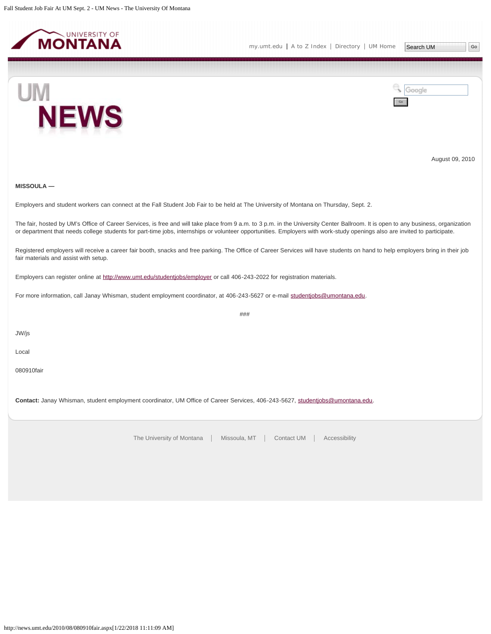<span id="page-46-0"></span>





August 09, 2010

# **MISSOULA —**

Employers and student workers can connect at the Fall Student Job Fair to be held at The University of Montana on Thursday, Sept. 2.

The fair, hosted by UM's Office of Career Services, is free and will take place from 9 a.m. to 3 p.m. in the University Center Ballroom. It is open to any business, organization or department that needs college students for part-time jobs, internships or volunteer opportunities. Employers with work-study openings also are invited to participate.

Registered employers will receive a career fair booth, snacks and free parking. The Office of Career Services will have students on hand to help employers bring in their job fair materials and assist with setup.

###

Employers can register online at<http://www.umt.edu/studentjobs/employer> or call 406-243-2022 for registration materials.

For more information, call Janay Whisman, student employment coordinator, at 406-243-5627 or e-mail [studentjobs@umontana.edu.](mailto:studentjobs@umontana.edu)

JW/js

Local

080910fair

Contact: Janay Whisman, student employment coordinator, UM Office of Career Services, 406-243-5627, [studentjobs@umontana.edu.](mailto:studentjobs@umontana.edu)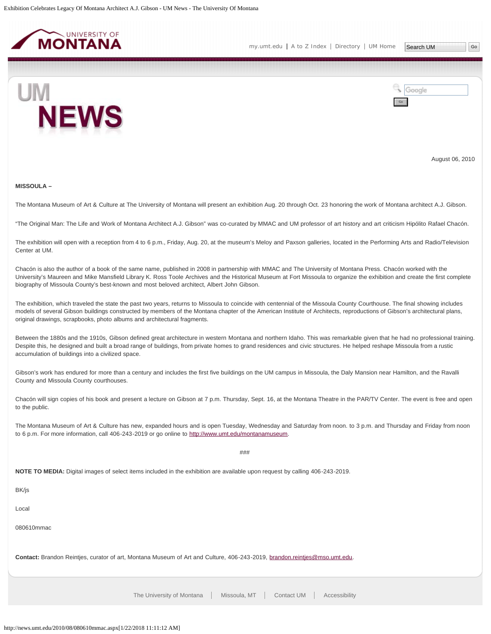<span id="page-47-0"></span>



August 06, 2010

#### **MISSOULA –**

The Montana Museum of Art & Culture at The University of Montana will present an exhibition Aug. 20 through Oct. 23 honoring the work of Montana architect A.J. Gibson.

"The Original Man: The Life and Work of Montana Architect A.J. Gibson" was co-curated by MMAC and UM professor of art history and art criticism Hipólito Rafael Chacón.

The exhibition will open with a reception from 4 to 6 p.m., Friday, Aug. 20, at the museum's Meloy and Paxson galleries, located in the Performing Arts and Radio/Television Center at UM.

Chacón is also the author of a book of the same name, published in 2008 in partnership with MMAC and The University of Montana Press. Chacón worked with the University's Maureen and Mike Mansfield Library K. Ross Toole Archives and the Historical Museum at Fort Missoula to organize the exhibition and create the first complete biography of Missoula County's best-known and most beloved architect, Albert John Gibson.

The exhibition, which traveled the state the past two years, returns to Missoula to coincide with centennial of the Missoula County Courthouse. The final showing includes models of several Gibson buildings constructed by members of the Montana chapter of the American Institute of Architects, reproductions of Gibson's architectural plans, original drawings, scrapbooks, photo albums and architectural fragments.

Between the 1880s and the 1910s, Gibson defined great architecture in western Montana and northern Idaho. This was remarkable given that he had no professional training. Despite this, he designed and built a broad range of buildings, from private homes to grand residences and civic structures. He helped reshape Missoula from a rustic accumulation of buildings into a civilized space.

Gibson's work has endured for more than a century and includes the first five buildings on the UM campus in Missoula, the Daly Mansion near Hamilton, and the Ravalli County and Missoula County courthouses.

Chacón will sign copies of his book and present a lecture on Gibson at 7 p.m. Thursday, Sept. 16, at the Montana Theatre in the PAR/TV Center. The event is free and open to the public.

The Montana Museum of Art & Culture has new, expanded hours and is open Tuesday, Wednesday and Saturday from noon. to 3 p.m. and Thursday and Friday from noon to 6 p.m. For more information, call 406-243-2019 or go online to [http://www.umt.edu/montanamuseum.](http://www.umt.edu/montanamuseum)

###

**NOTE TO MEDIA:** Digital images of select items included in the exhibition are available upon request by calling 406-243-2019.

BK/js

Local

080610mmac

**Contact:** Brandon Reintjes, curator of art, Montana Museum of Art and Culture, 406-243-2019, [brandon.reintjes@mso.umt.edu.](mailto:brandon.reintjes@mso.umt.edu)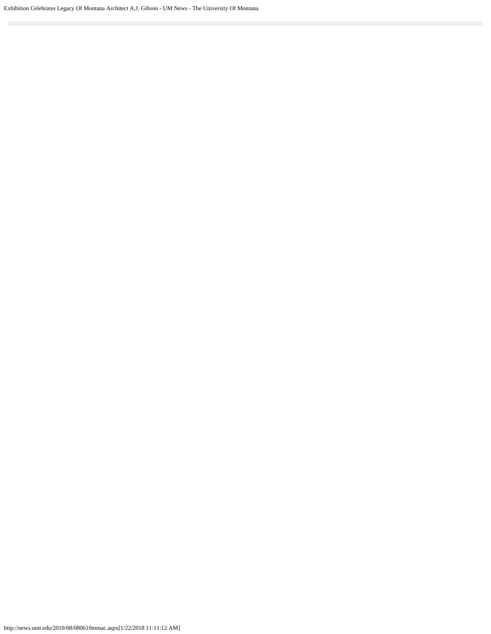Exhibition Celebrates Legacy Of Montana Architect A.J. Gibson - UM News - The University Of Montana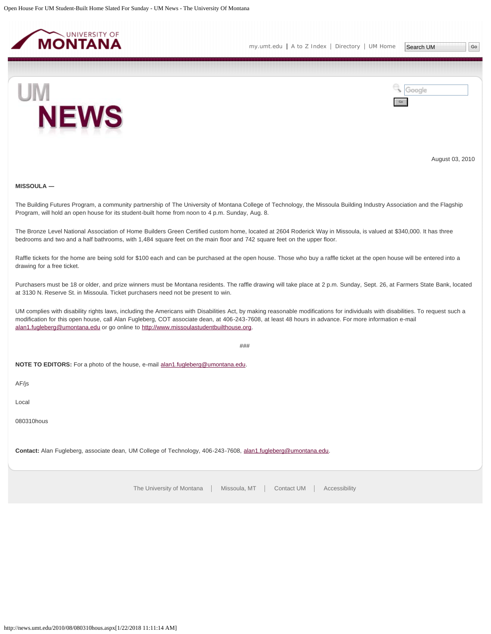<span id="page-49-0"></span>



August 03, 2010

# **MISSOULA ―**

The Building Futures Program, a community partnership of The University of Montana College of Technology, the Missoula Building Industry Association and the Flagship Program, will hold an open house for its student-built home from noon to 4 p.m. Sunday, Aug. 8.

The Bronze Level National Association of Home Builders Green Certified custom home, located at 2604 Roderick Way in Missoula, is valued at \$340,000. It has three bedrooms and two and a half bathrooms, with 1,484 square feet on the main floor and 742 square feet on the upper floor.

Raffle tickets for the home are being sold for \$100 each and can be purchased at the open house. Those who buy a raffle ticket at the open house will be entered into a drawing for a free ticket.

Purchasers must be 18 or older, and prize winners must be Montana residents. The raffle drawing will take place at 2 p.m. Sunday, Sept. 26, at Farmers State Bank, located at 3130 N. Reserve St. in Missoula. Ticket purchasers need not be present to win.

UM complies with disability rights laws, including the Americans with Disabilities Act, by making reasonable modifications for individuals with disabilities. To request such a modification for this open house, call Alan Fugleberg, COT associate dean, at 406-243-7608, at least 48 hours in advance. For more information e-mail [alan1.fugleberg@umontana.edu](mailto:alan1.fugleberg@umontana.edu) or go online to [http://www.missoulastudentbuilthouse.org.](http://www.missoulastudentbuilthouse.org/)

###

**NOTE TO EDITORS:** For a photo of the house, e-mail [alan1.fugleberg@umontana.edu](mailto:alan1.fugleberg@umontana.edu).

AF/js

Local

080310hous

**Contact:** Alan Fugleberg, associate dean, UM College of Technology, 406-243-7608, [alan1.fugleberg@umontana.edu](mailto:alan1.fugleberg@umontana.edu).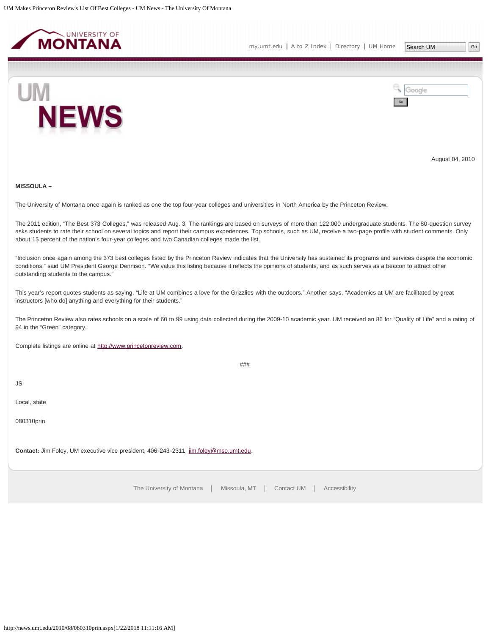<span id="page-50-0"></span>



August 04, 2010

## **MISSOULA –**

The University of Montana once again is ranked as one the top four-year colleges and universities in North America by the Princeton Review.

The 2011 edition, "The Best 373 Colleges," was released Aug. 3. The rankings are based on surveys of more than 122,000 undergraduate students. The 80-question survey asks students to rate their school on several topics and report their campus experiences. Top schools, such as UM, receive a two-page profile with student comments. Only about 15 percent of the nation's four-year colleges and two Canadian colleges made the list.

"Inclusion once again among the 373 best colleges listed by the Princeton Review indicates that the University has sustained its programs and services despite the economic conditions," said UM President George Dennison. "We value this listing because it reflects the opinions of students, and as such serves as a beacon to attract other outstanding students to the campus."

This year's report quotes students as saying, "Life at UM combines a love for the Grizzlies with the outdoors." Another says, "Academics at UM are facilitated by great instructors [who do] anything and everything for their students."

The Princeton Review also rates schools on a scale of 60 to 99 using data collected during the 2009-10 academic year. UM received an 86 for "Quality of Life" and a rating of 94 in the "Green" category.

 $###$ 

Complete listings are online at [http://www.princetonreview.com.](http://www.princetonreview.com/)

JS

Local, state

080310prin

**Contact:** Jim Foley, UM executive vice president, 406-243-2311, [jim.foley@mso.umt.edu.](mailto:jim.foley@mso.umt.edu)